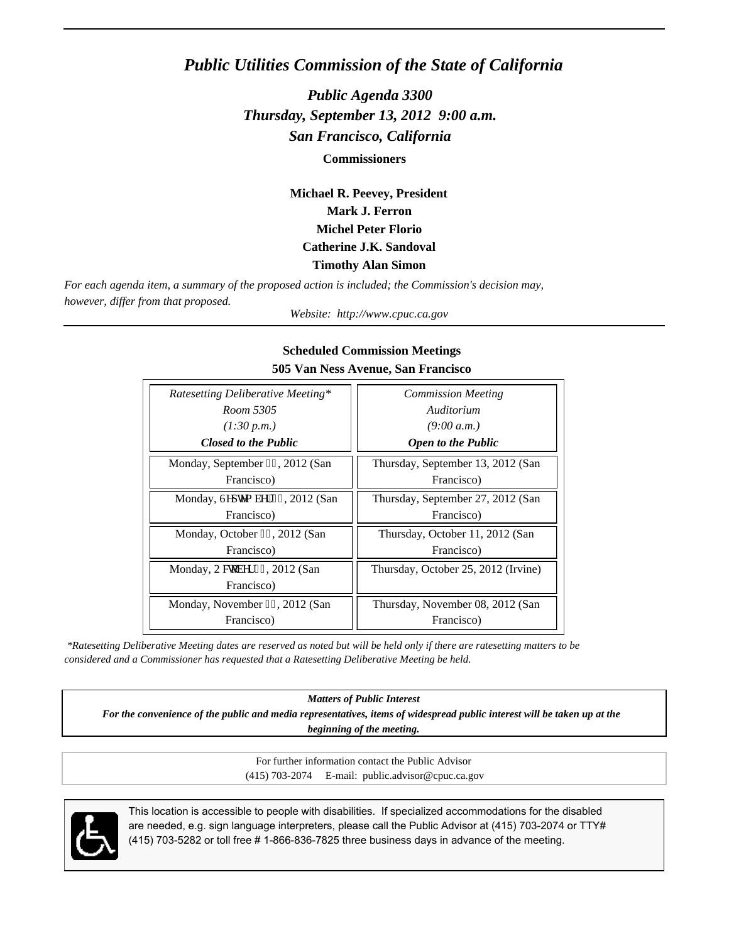# *Public Utilities Commission of the State of California*

*Public Agenda 3300 Thursday, September 13, 2012 9:00 a.m. San Francisco, California*

**Commissioners**

**Michael R. Peevey, President Mark J. Ferron Michel Peter Florio Catherine J.K. Sandoval Timothy Alan Simon**

*For each agenda item, a summary of the proposed action is included; the Commission's decision may, however, differ from that proposed.*

*Website: http://www.cpuc.ca.gov*

| Ratesetting Deliberative Meeting* | <b>Commission Meeting</b>           |
|-----------------------------------|-------------------------------------|
| Room 5305                         | Auditorium                          |
| (1:30 p.m.)                       | (9:00 a.m.)                         |
| <b>Closed to the Public</b>       | <b>Open to the Public</b>           |
| Monday, September 32, 2012 (San   | Thursday, September 13, 2012 (San   |
| Francisco)                        | Francisco)                          |
| Monday, Ugr vgo dgt 46, 2012 (San | Thursday, September 27, 2012 (San   |
| Francisco)                        | Francisco)                          |
| Monday, October 2: , 2012 (San    | Thursday, October 11, 2012 (San     |
| Francisco)                        | Francisco)                          |
| Monday, Qevqdgt 44, 2012 (San     | Thursday, October 25, 2012 (Irvine) |
| Francisco)                        |                                     |
| Monday, November 27, 2012 (San    | Thursday, November 08, 2012 (San    |
| Francisco)                        | Francisco)                          |

### **Scheduled Commission Meetings 505 Van Ness Avenue, San Francisco**

 *\*Ratesetting Deliberative Meeting dates are reserved as noted but will be held only if there are ratesetting matters to be considered and a Commissioner has requested that a Ratesetting Deliberative Meeting be held.*

*Matters of Public Interest*

*For the convenience of the public and media representatives, items of widespread public interest will be taken up at the beginning of the meeting.*

> For further information contact the Public Advisor (415) 703-2074 E-mail: public.advisor@cpuc.ca.gov



This location is accessible to people with disabilities. If specialized accommodations for the disabled are needed, e.g. sign language interpreters, please call the Public Advisor at (415) 703-2074 or TTY# (415) 703-5282 or toll free # 1-866-836-7825 three business days in advance of the meeting.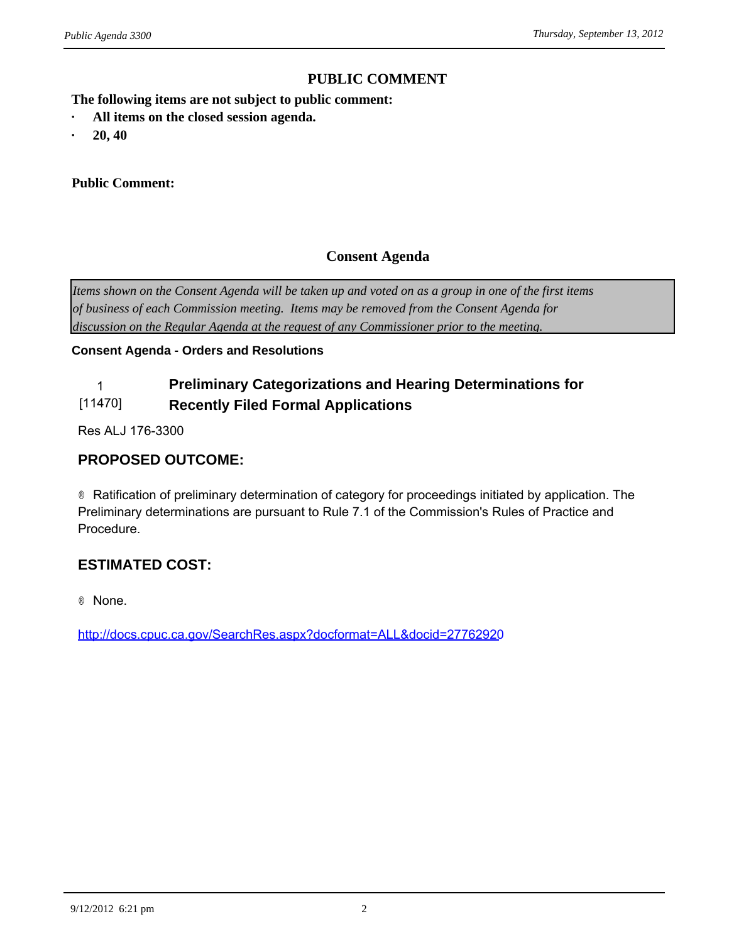# **PUBLIC COMMENT**

**The following items are not subject to public comment:** *ublic Agenda 3300*<br> **PUBLIC CONTINENT CONTINUISE:**<br> **•** All items on the closed session agenda.<br>
• 20, 40

- *ublic Agenda 3300*<br>
The following items are not suby<br> **· All items on the closed sessic<br>
· 20, 40<br>
Public Comment:**
- 

### **Public Comment:**

# **Consent Agenda**

*Items shown on the Consent Agenda will be taken up and voted on as a group in one of the first items of business of each Commission meeting. Items may be removed from the Consent Agenda for discussion on the Regular Agenda at the request of any Commissioner prior to the meeting.*

### **Consent Agenda - Orders and Resolutions**

### 1 **Preliminary Categorizations and Hearing Determinations for**  [11470] **Recently Filed Formal Applications**

Res ALJ 176-3300

# **PROPOSED OUTCOME:**

® Ratification of preliminary determination of category for proceedings initiated by application. The Preliminary determinations are pursuant to Rule 7.1 of the Commission's Rules of Practice and Procedure.

# **ESTIMATED COST:**

® None.

<http://docs.cpuc.ca.gov/SearchRes.aspx?docformat=ALL&docid=27762920>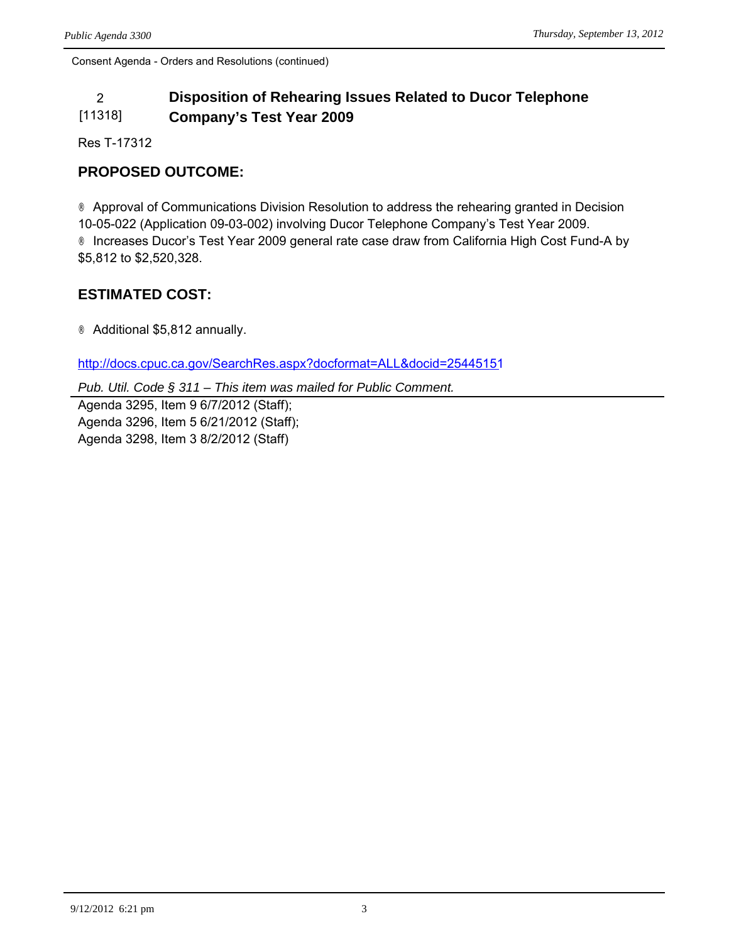### 2 **Disposition of Rehearing Issues Related to Ducor Telephone**  [11318] **Company's Test Year 2009**

Res T-17312

# **PROPOSED OUTCOME:**

® Approval of Communications Division Resolution to address the rehearing granted in Decision 10-05-022 (Application 09-03-002) involving Ducor Telephone Company's Test Year 2009. ® Increases Ducor's Test Year 2009 general rate case draw from California High Cost Fund-A by \$5,812 to \$2,520,328.

# **ESTIMATED COST:**

® Additional \$5,812 annually.

<http://docs.cpuc.ca.gov/SearchRes.aspx?docformat=ALL&docid=25445151>

*Pub. Util. Code § 311 – This item was mailed for Public Comment.*

Agenda 3295, Item 9 6/7/2012 (Staff); Agenda 3296, Item 5 6/21/2012 (Staff); Agenda 3298, Item 3 8/2/2012 (Staff)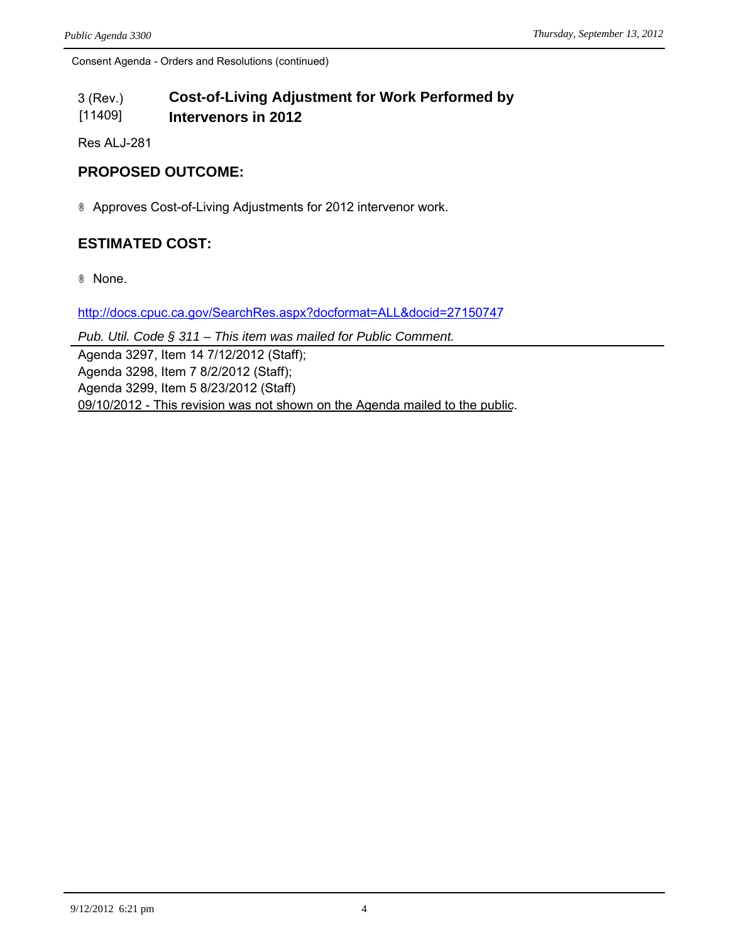#### 3 (Rev.) [11409] **Cost-of-Living Adjustment for Work Performed by Intervenors in 2012**

Res ALJ-281

# **PROPOSED OUTCOME:**

® Approves Cost-of-Living Adjustments for 2012 intervenor work.

# **ESTIMATED COST:**

® None.

<http://docs.cpuc.ca.gov/SearchRes.aspx?docformat=ALL&docid=27150747>

*Pub. Util. Code § 311 – This item was mailed for Public Comment.*

Agenda 3297, Item 14 7/12/2012 (Staff); Agenda 3298, Item 7 8/2/2012 (Staff); Agenda 3299, Item 5 8/23/2012 (Staff) 09/10/2012 - This revision was not shown on the Agenda mailed to the public.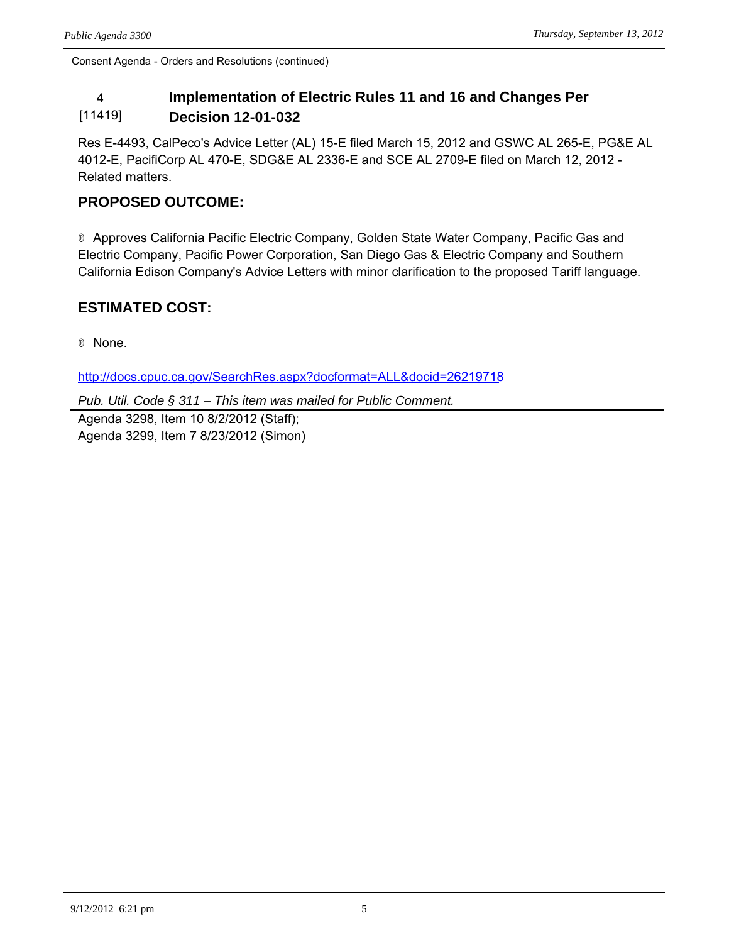### 4 **Implementation of Electric Rules 11 and 16 and Changes Per**  [11419] **Decision 12-01-032**

Res E-4493, CalPeco's Advice Letter (AL) 15-E filed March 15, 2012 and GSWC AL 265-E, PG&E AL 4012-E, PacifiCorp AL 470-E, SDG&E AL 2336-E and SCE AL 2709-E filed on March 12, 2012 - Related matters.

# **PROPOSED OUTCOME:**

® Approves California Pacific Electric Company, Golden State Water Company, Pacific Gas and Electric Company, Pacific Power Corporation, San Diego Gas & Electric Company and Southern California Edison Company's Advice Letters with minor clarification to the proposed Tariff language.

# **ESTIMATED COST:**

® None.

<http://docs.cpuc.ca.gov/SearchRes.aspx?docformat=ALL&docid=26219718>

*Pub. Util. Code § 311 – This item was mailed for Public Comment.*

Agenda 3298, Item 10 8/2/2012 (Staff); Agenda 3299, Item 7 8/23/2012 (Simon)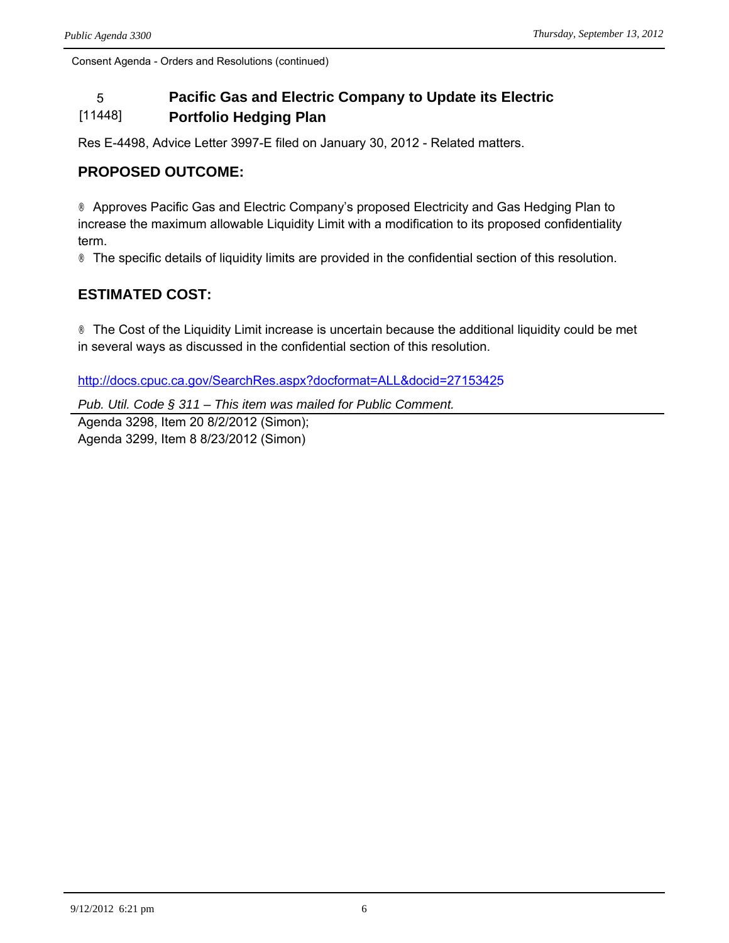### 5 **Pacific Gas and Electric Company to Update its Electric**  [11448] **Portfolio Hedging Plan**

Res E-4498, Advice Letter 3997-E filed on January 30, 2012 - Related matters.

# **PROPOSED OUTCOME:**

® Approves Pacific Gas and Electric Company's proposed Electricity and Gas Hedging Plan to increase the maximum allowable Liquidity Limit with a modification to its proposed confidentiality term.

® The specific details of liquidity limits are provided in the confidential section of this resolution.

# **ESTIMATED COST:**

® The Cost of the Liquidity Limit increase is uncertain because the additional liquidity could be met in several ways as discussed in the confidential section of this resolution.

<http://docs.cpuc.ca.gov/SearchRes.aspx?docformat=ALL&docid=27153425>

*Pub. Util. Code § 311 – This item was mailed for Public Comment.*

Agenda 3298, Item 20 8/2/2012 (Simon); Agenda 3299, Item 8 8/23/2012 (Simon)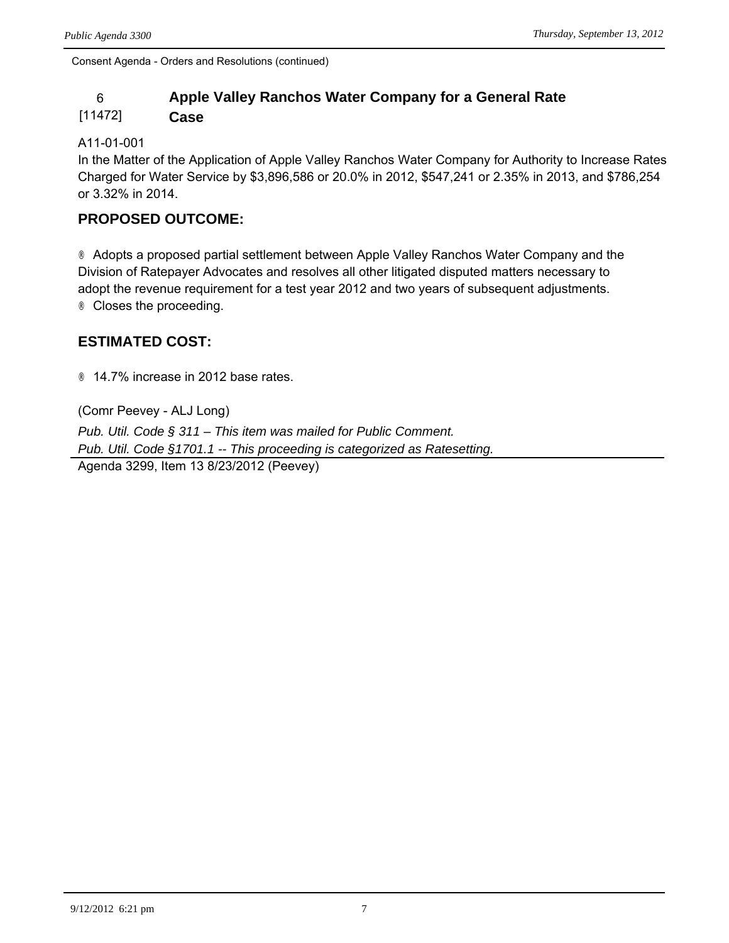# 6 **Apple Valley Ranchos Water Company for a General Rate**

#### [11472] **Case**

## A11-01-001

In the Matter of the Application of Apple Valley Ranchos Water Company for Authority to Increase Rates Charged for Water Service by \$3,896,586 or 20.0% in 2012, \$547,241 or 2.35% in 2013, and \$786,254 or 3.32% in 2014.

# **PROPOSED OUTCOME:**

® Adopts a proposed partial settlement between Apple Valley Ranchos Water Company and the Division of Ratepayer Advocates and resolves all other litigated disputed matters necessary to adopt the revenue requirement for a test year 2012 and two years of subsequent adjustments. ® Closes the proceeding.

# **ESTIMATED COST:**

® 14.7% increase in 2012 base rates.

(Comr Peevey - ALJ Long) *Pub. Util. Code § 311 – This item was mailed for Public Comment. Pub. Util. Code §1701.1 -- This proceeding is categorized as Ratesetting.* Agenda 3299, Item 13 8/23/2012 (Peevey)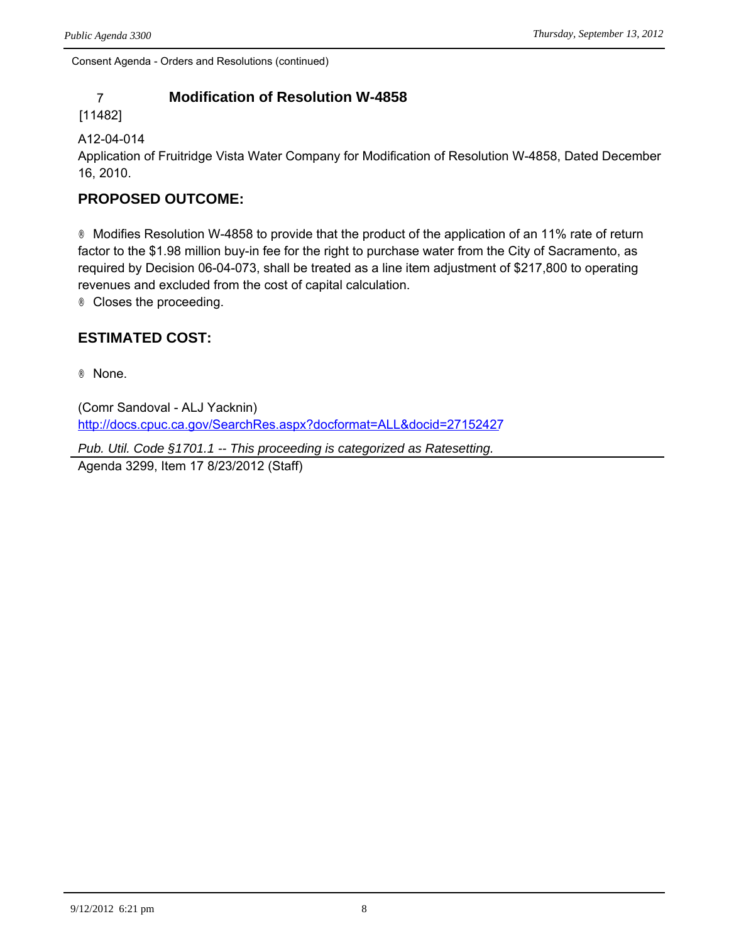# 7 **Modification of Resolution W-4858**

## [11482]

## A12-04-014

Application of Fruitridge Vista Water Company for Modification of Resolution W-4858, Dated December 16, 2010.

# **PROPOSED OUTCOME:**

® Modifies Resolution W-4858 to provide that the product of the application of an 11% rate of return factor to the \$1.98 million buy-in fee for the right to purchase water from the City of Sacramento, as required by Decision 06-04-073, shall be treated as a line item adjustment of \$217,800 to operating revenues and excluded from the cost of capital calculation.

® Closes the proceeding.

# **ESTIMATED COST:**

® None.

(Comr Sandoval - ALJ Yacknin) <http://docs.cpuc.ca.gov/SearchRes.aspx?docformat=ALL&docid=27152427>

*Pub. Util. Code §1701.1 -- This proceeding is categorized as Ratesetting.* Agenda 3299, Item 17 8/23/2012 (Staff)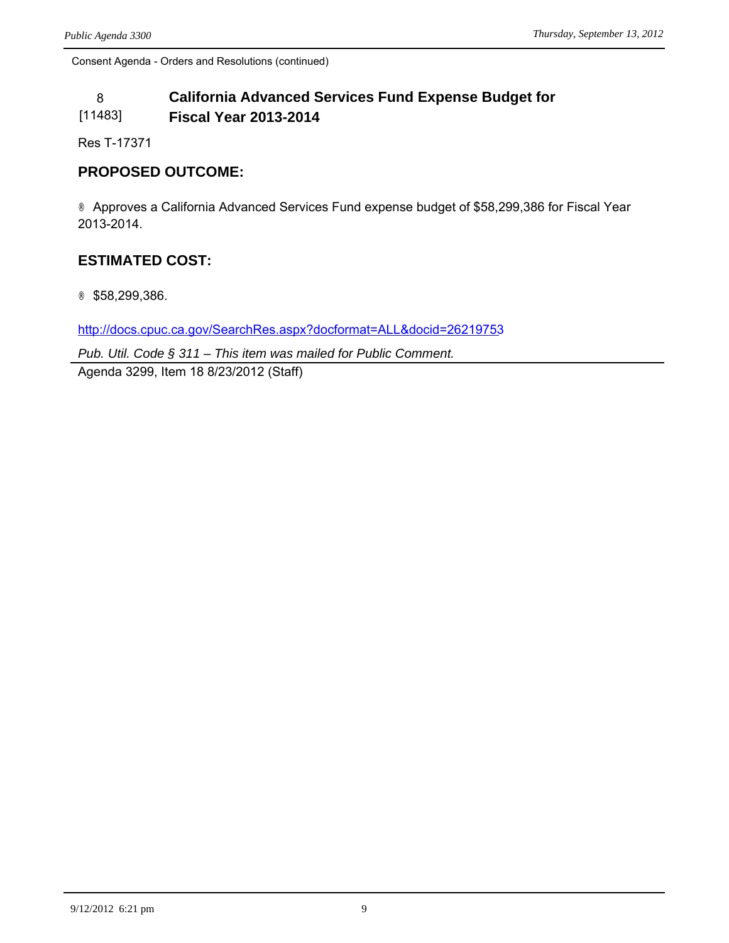### 8 **California Advanced Services Fund Expense Budget for**  [11483] **Fiscal Year 2013-2014**

Res T-17371

# **PROPOSED OUTCOME:**

® Approves a California Advanced Services Fund expense budget of \$58,299,386 for Fiscal Year 2013-2014.

# **ESTIMATED COST:**

® \$58,299,386.

<http://docs.cpuc.ca.gov/SearchRes.aspx?docformat=ALL&docid=26219753>

*Pub. Util. Code § 311 – This item was mailed for Public Comment.*

Agenda 3299, Item 18 8/23/2012 (Staff)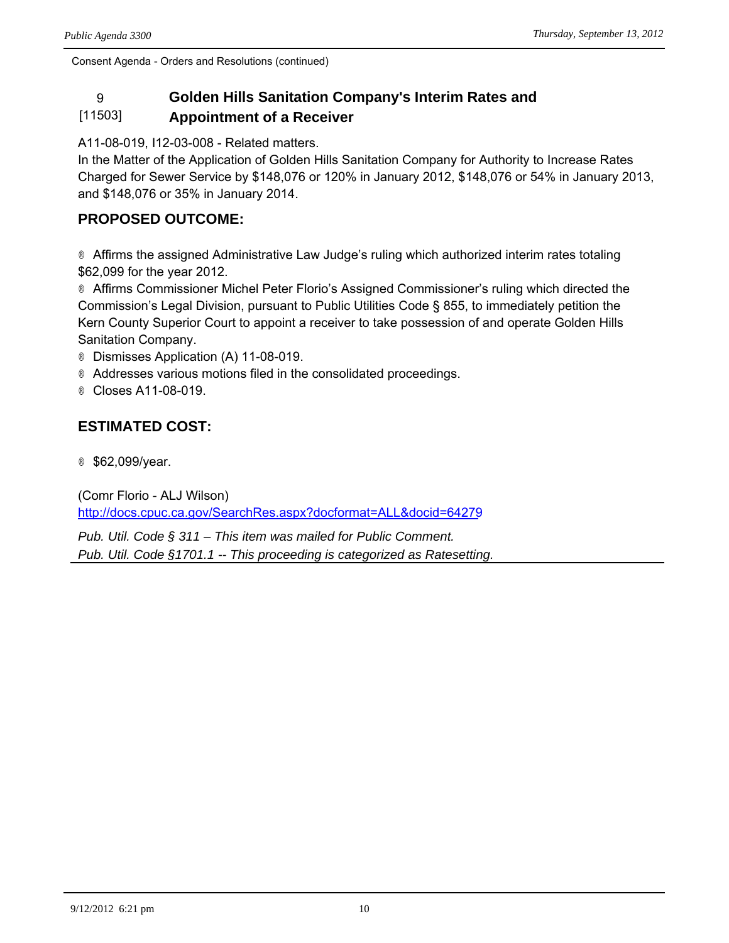### 9 **Golden Hills Sanitation Company's Interim Rates and**  [11503] **Appointment of a Receiver**

A11-08-019, I12-03-008 - Related matters.

In the Matter of the Application of Golden Hills Sanitation Company for Authority to Increase Rates Charged for Sewer Service by \$148,076 or 120% in January 2012, \$148,076 or 54% in January 2013, and \$148,076 or 35% in January 2014.

# **PROPOSED OUTCOME:**

® Affirms the assigned Administrative Law Judge's ruling which authorized interim rates totaling \$62,099 for the year 2012.

® Affirms Commissioner Michel Peter Florio's Assigned Commissioner's ruling which directed the Commission's Legal Division, pursuant to Public Utilities Code § 855, to immediately petition the Kern County Superior Court to appoint a receiver to take possession of and operate Golden Hills Sanitation Company.

- ® Dismisses Application (A) 11-08-019.
- ® Addresses various motions filed in the consolidated proceedings.
- ® Closes A11-08-019.

# **ESTIMATED COST:**

® \$62,099/year.

(Comr Florio - ALJ Wilson) <http://docs.cpuc.ca.gov/SearchRes.aspx?docformat=ALL&docid=64279>

*Pub. Util. Code § 311 – This item was mailed for Public Comment. Pub. Util. Code §1701.1 -- This proceeding is categorized as Ratesetting.*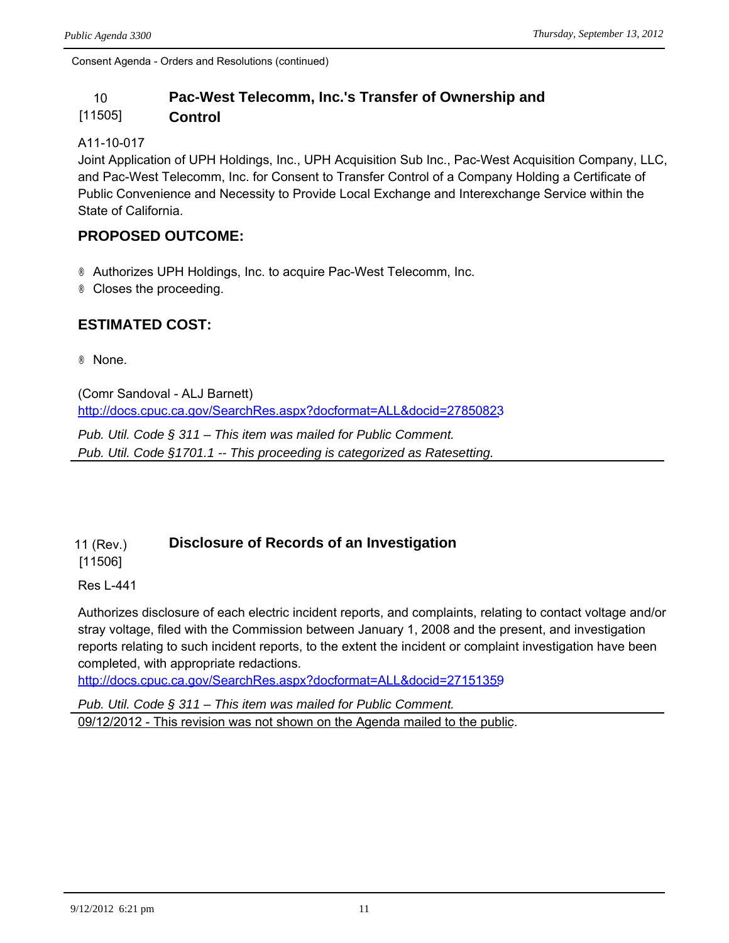### 10 **Pac-West Telecomm, Inc.'s Transfer of Ownership and**  [11505] **Control**

### A11-10-017

Joint Application of UPH Holdings, Inc., UPH Acquisition Sub Inc., Pac-West Acquisition Company, LLC, and Pac-West Telecomm, Inc. for Consent to Transfer Control of a Company Holding a Certificate of Public Convenience and Necessity to Provide Local Exchange and Interexchange Service within the State of California.

# **PROPOSED OUTCOME:**

® Authorizes UPH Holdings, Inc. to acquire Pac-West Telecomm, Inc.

® Closes the proceeding.

# **ESTIMATED COST:**

® None.

(Comr Sandoval - ALJ Barnett) <http://docs.cpuc.ca.gov/SearchRes.aspx?docformat=ALL&docid=27850823>

*Pub. Util. Code § 311 – This item was mailed for Public Comment. Pub. Util. Code §1701.1 -- This proceeding is categorized as Ratesetting.*

#### 11 (Rev.) **Disclosure of Records of an Investigation**

[11506]

Res L-441

Authorizes disclosure of each electric incident reports, and complaints, relating to contact voltage and/or stray voltage, filed with the Commission between January 1, 2008 and the present, and investigation reports relating to such incident reports, to the extent the incident or complaint investigation have been completed, with appropriate redactions.

<http://docs.cpuc.ca.gov/SearchRes.aspx?docformat=ALL&docid=27151359>

*Pub. Util. Code § 311 – This item was mailed for Public Comment.* 09/12/2012 - This revision was not shown on the Agenda mailed to the public.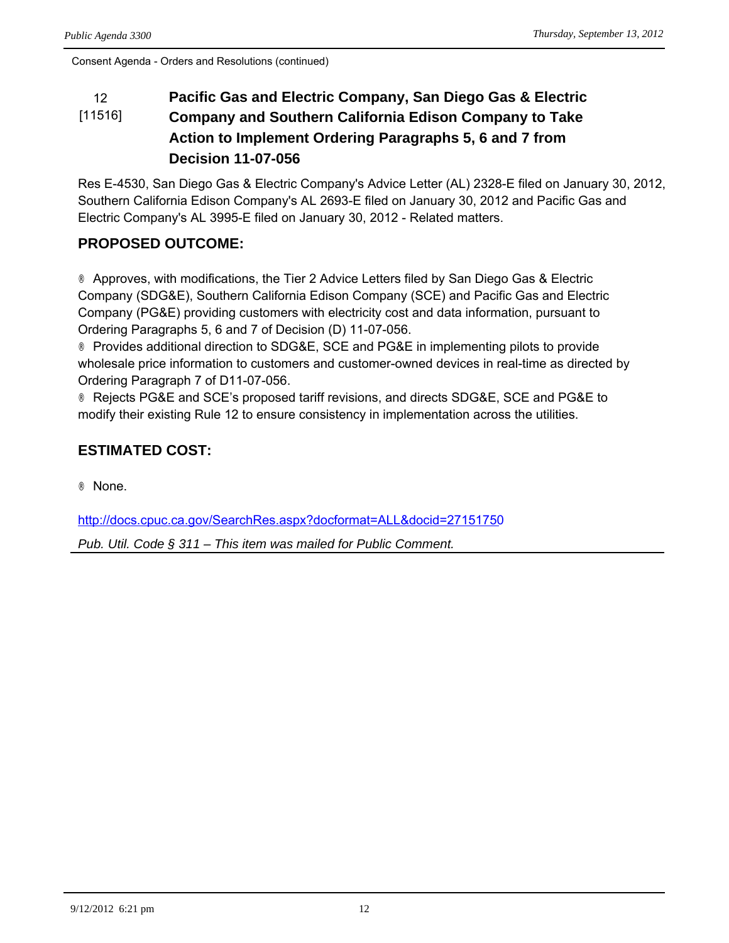### 12 **Pacific Gas and Electric Company, San Diego Gas & Electric**  [11516] **Company and Southern California Edison Company to Take Action to Implement Ordering Paragraphs 5, 6 and 7 from Decision 11-07-056**

Res E-4530, San Diego Gas & Electric Company's Advice Letter (AL) 2328-E filed on January 30, 2012, Southern California Edison Company's AL 2693-E filed on January 30, 2012 and Pacific Gas and Electric Company's AL 3995-E filed on January 30, 2012 - Related matters.

# **PROPOSED OUTCOME:**

® Approves, with modifications, the Tier 2 Advice Letters filed by San Diego Gas & Electric Company (SDG&E), Southern California Edison Company (SCE) and Pacific Gas and Electric Company (PG&E) providing customers with electricity cost and data information, pursuant to Ordering Paragraphs 5, 6 and 7 of Decision (D) 11-07-056.

® Provides additional direction to SDG&E, SCE and PG&E in implementing pilots to provide wholesale price information to customers and customer-owned devices in real-time as directed by Ordering Paragraph 7 of D11-07-056.

® Rejects PG&E and SCE's proposed tariff revisions, and directs SDG&E, SCE and PG&E to modify their existing Rule 12 to ensure consistency in implementation across the utilities.

# **ESTIMATED COST:**

® None.

<http://docs.cpuc.ca.gov/SearchRes.aspx?docformat=ALL&docid=27151750>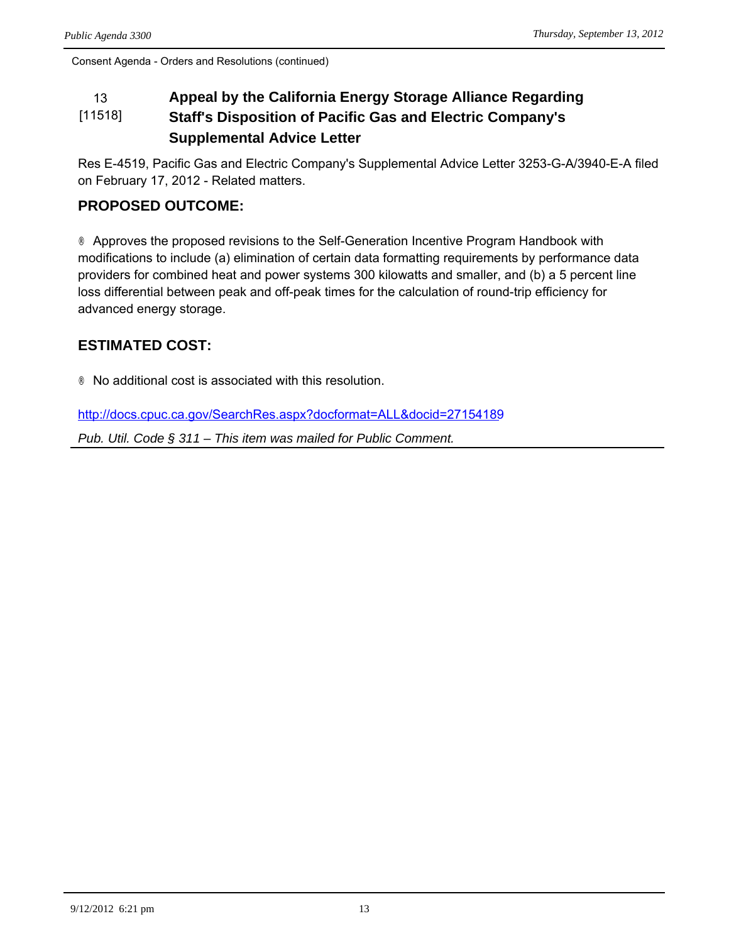### 13 **Appeal by the California Energy Storage Alliance Regarding**  [11518] **Staff's Disposition of Pacific Gas and Electric Company's Supplemental Advice Letter**

Res E-4519, Pacific Gas and Electric Company's Supplemental Advice Letter 3253-G-A/3940-E-A filed on February 17, 2012 - Related matters.

# **PROPOSED OUTCOME:**

® Approves the proposed revisions to the Self-Generation Incentive Program Handbook with modifications to include (a) elimination of certain data formatting requirements by performance data providers for combined heat and power systems 300 kilowatts and smaller, and (b) a 5 percent line loss differential between peak and off-peak times for the calculation of round-trip efficiency for advanced energy storage.

# **ESTIMATED COST:**

® No additional cost is associated with this resolution.

<http://docs.cpuc.ca.gov/SearchRes.aspx?docformat=ALL&docid=27154189>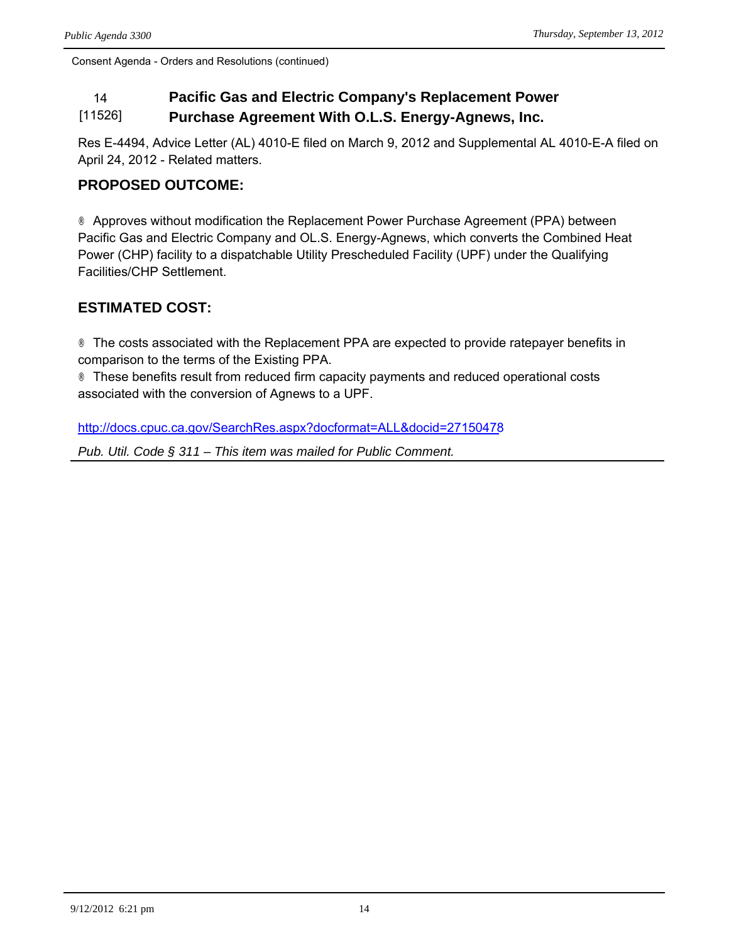### 14 **Pacific Gas and Electric Company's Replacement Power**  [11526] **Purchase Agreement With O.L.S. Energy-Agnews, Inc.**

Res E-4494, Advice Letter (AL) 4010-E filed on March 9, 2012 and Supplemental AL 4010-E-A filed on April 24, 2012 - Related matters.

# **PROPOSED OUTCOME:**

® Approves without modification the Replacement Power Purchase Agreement (PPA) between Pacific Gas and Electric Company and OL.S. Energy-Agnews, which converts the Combined Heat Power (CHP) facility to a dispatchable Utility Prescheduled Facility (UPF) under the Qualifying Facilities/CHP Settlement.

# **ESTIMATED COST:**

® The costs associated with the Replacement PPA are expected to provide ratepayer benefits in comparison to the terms of the Existing PPA.

® These benefits result from reduced firm capacity payments and reduced operational costs associated with the conversion of Agnews to a UPF.

<http://docs.cpuc.ca.gov/SearchRes.aspx?docformat=ALL&docid=27150478>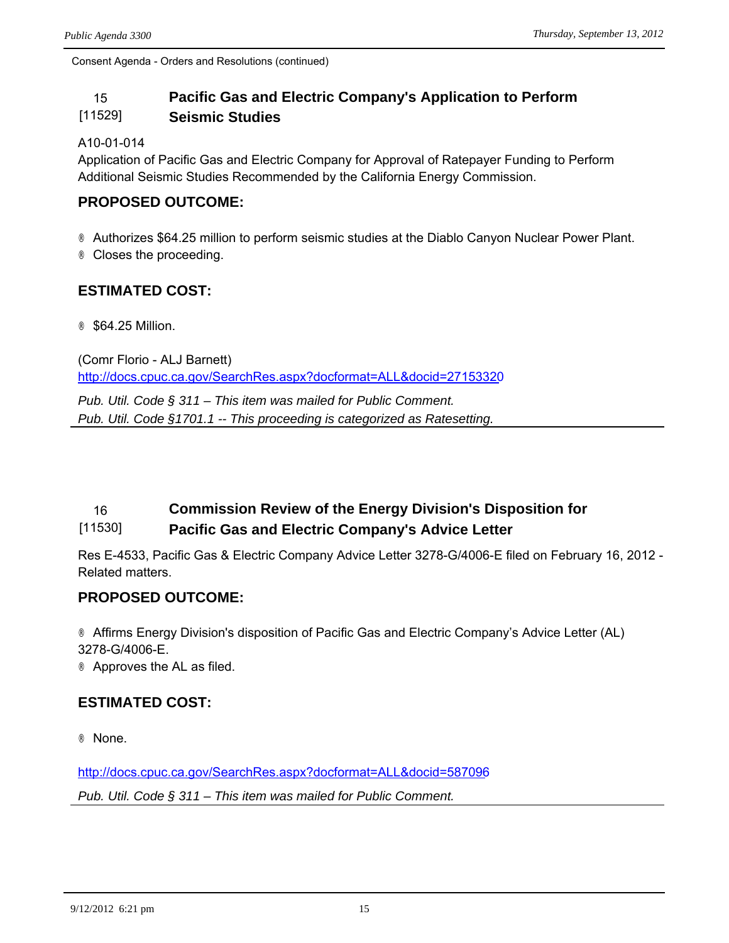### 15 **Pacific Gas and Electric Company's Application to Perform**  [11529] **Seismic Studies**

### A10-01-014

Application of Pacific Gas and Electric Company for Approval of Ratepayer Funding to Perform Additional Seismic Studies Recommended by the California Energy Commission.

# **PROPOSED OUTCOME:**

® Authorizes \$64.25 million to perform seismic studies at the Diablo Canyon Nuclear Power Plant. ® Closes the proceeding.

# **ESTIMATED COST:**

® \$64.25 Million.

(Comr Florio - ALJ Barnett) <http://docs.cpuc.ca.gov/SearchRes.aspx?docformat=ALL&docid=27153320>

*Pub. Util. Code § 311 – This item was mailed for Public Comment. Pub. Util. Code §1701.1 -- This proceeding is categorized as Ratesetting.*

### 16 **Commission Review of the Energy Division's Disposition for**  [11530] **Pacific Gas and Electric Company's Advice Letter**

Res E-4533, Pacific Gas & Electric Company Advice Letter 3278-G/4006-E filed on February 16, 2012 - Related matters.

# **PROPOSED OUTCOME:**

® Affirms Energy Division's disposition of Pacific Gas and Electric Company's Advice Letter (AL) 3278-G/4006-E.

® Approves the AL as filed.

# **ESTIMATED COST:**

® None.

<http://docs.cpuc.ca.gov/SearchRes.aspx?docformat=ALL&docid=587096> *Pub. Util. Code § 311 – This item was mailed for Public Comment.*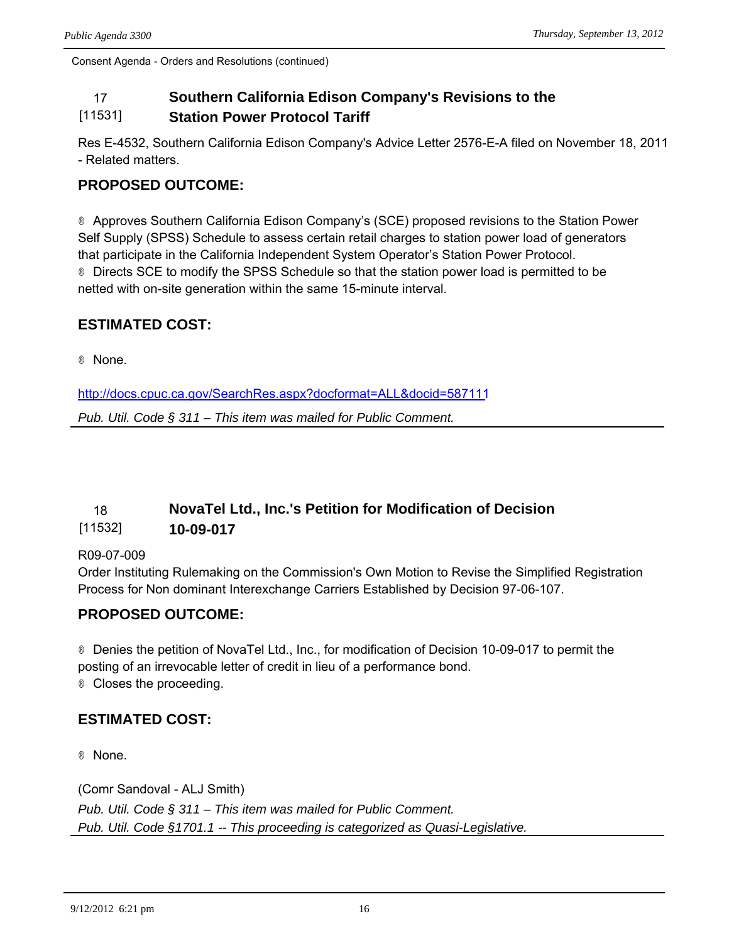### 17 **Southern California Edison Company's Revisions to the**  [11531] **Station Power Protocol Tariff**

Res E-4532, Southern California Edison Company's Advice Letter 2576-E-A filed on November 18, 2011 - Related matters.

# **PROPOSED OUTCOME:**

® Approves Southern California Edison Company's (SCE) proposed revisions to the Station Power Self Supply (SPSS) Schedule to assess certain retail charges to station power load of generators that participate in the California Independent System Operator's Station Power Protocol. ® Directs SCE to modify the SPSS Schedule so that the station power load is permitted to be netted with on-site generation within the same 15-minute interval.

# **ESTIMATED COST:**

® None.

<http://docs.cpuc.ca.gov/SearchRes.aspx?docformat=ALL&docid=587111>

*Pub. Util. Code § 311 – This item was mailed for Public Comment.*

### 18 **NovaTel Ltd., Inc.'s Petition for Modification of Decision**  [11532] **10-09-017**

### R09-07-009

Order Instituting Rulemaking on the Commission's Own Motion to Revise the Simplified Registration Process for Non dominant Interexchange Carriers Established by Decision 97-06-107.

# **PROPOSED OUTCOME:**

® Denies the petition of NovaTel Ltd., Inc., for modification of Decision 10-09-017 to permit the posting of an irrevocable letter of credit in lieu of a performance bond. ® Closes the proceeding.

# **ESTIMATED COST:**

® None.

(Comr Sandoval - ALJ Smith) *Pub. Util. Code § 311 – This item was mailed for Public Comment. Pub. Util. Code §1701.1 -- This proceeding is categorized as Quasi-Legislative.*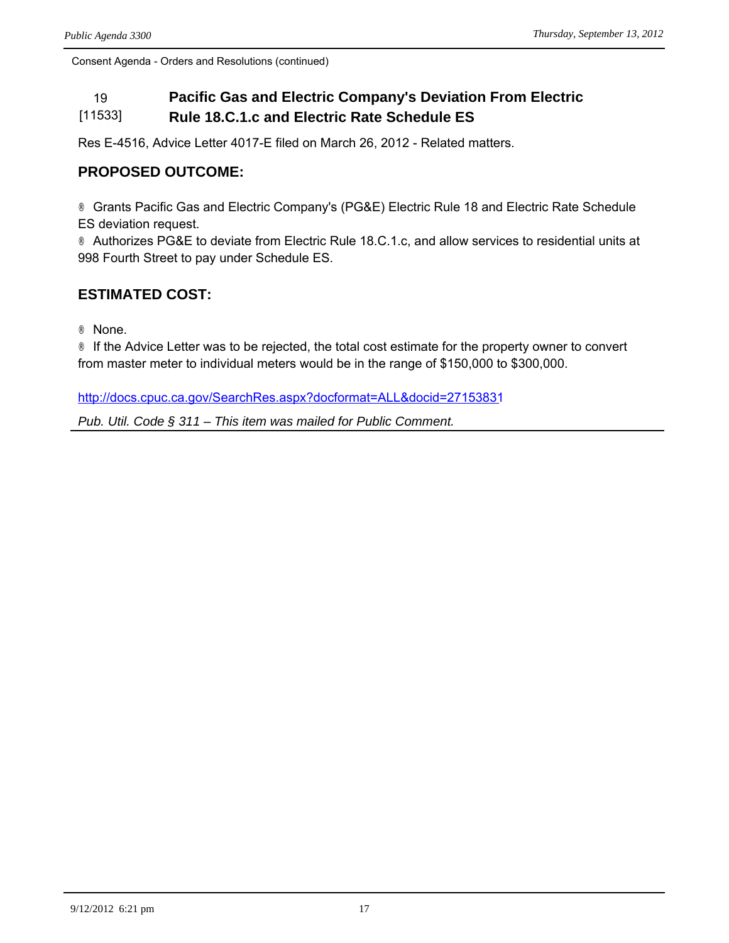### 19 **Pacific Gas and Electric Company's Deviation From Electric**  [11533] **Rule 18.C.1.c and Electric Rate Schedule ES**

Res E-4516, Advice Letter 4017-E filed on March 26, 2012 - Related matters.

# **PROPOSED OUTCOME:**

® Grants Pacific Gas and Electric Company's (PG&E) Electric Rule 18 and Electric Rate Schedule ES deviation request.

® Authorizes PG&E to deviate from Electric Rule 18.C.1.c, and allow services to residential units at 998 Fourth Street to pay under Schedule ES.

# **ESTIMATED COST:**

® None.

® If the Advice Letter was to be rejected, the total cost estimate for the property owner to convert from master meter to individual meters would be in the range of \$150,000 to \$300,000.

<http://docs.cpuc.ca.gov/SearchRes.aspx?docformat=ALL&docid=27153831>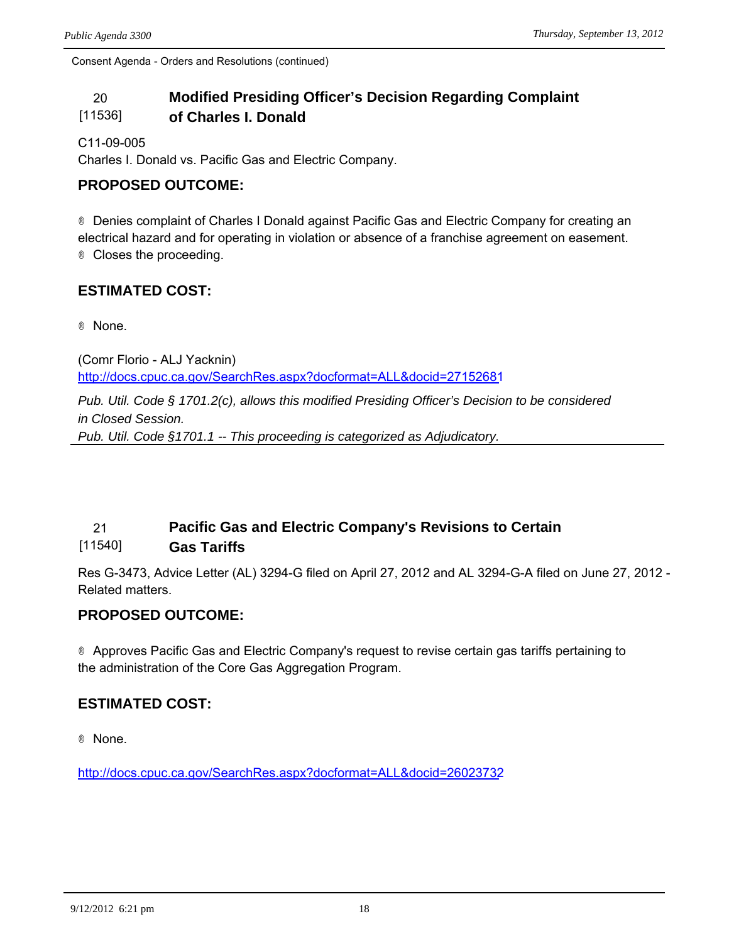### 20 **Modified Presiding Officer's Decision Regarding Complaint**  [11536] **of Charles I. Donald**

C11-09-005

Charles I. Donald vs. Pacific Gas and Electric Company.

# **PROPOSED OUTCOME:**

® Denies complaint of Charles I Donald against Pacific Gas and Electric Company for creating an electrical hazard and for operating in violation or absence of a franchise agreement on easement. ® Closes the proceeding.

# **ESTIMATED COST:**

® None.

(Comr Florio - ALJ Yacknin) <http://docs.cpuc.ca.gov/SearchRes.aspx?docformat=ALL&docid=27152681>

*Pub. Util. Code § 1701.2(c), allows this modified Presiding Officer's Decision to be considered in Closed Session. Pub. Util. Code §1701.1 -- This proceeding is categorized as Adjudicatory.*

### 21 **Pacific Gas and Electric Company's Revisions to Certain**  [11540] **Gas Tariffs**

Res G-3473, Advice Letter (AL) 3294-G filed on April 27, 2012 and AL 3294-G-A filed on June 27, 2012 - Related matters.

# **PROPOSED OUTCOME:**

® Approves Pacific Gas and Electric Company's request to revise certain gas tariffs pertaining to the administration of the Core Gas Aggregation Program.

# **ESTIMATED COST:**

® None.

<http://docs.cpuc.ca.gov/SearchRes.aspx?docformat=ALL&docid=26023732>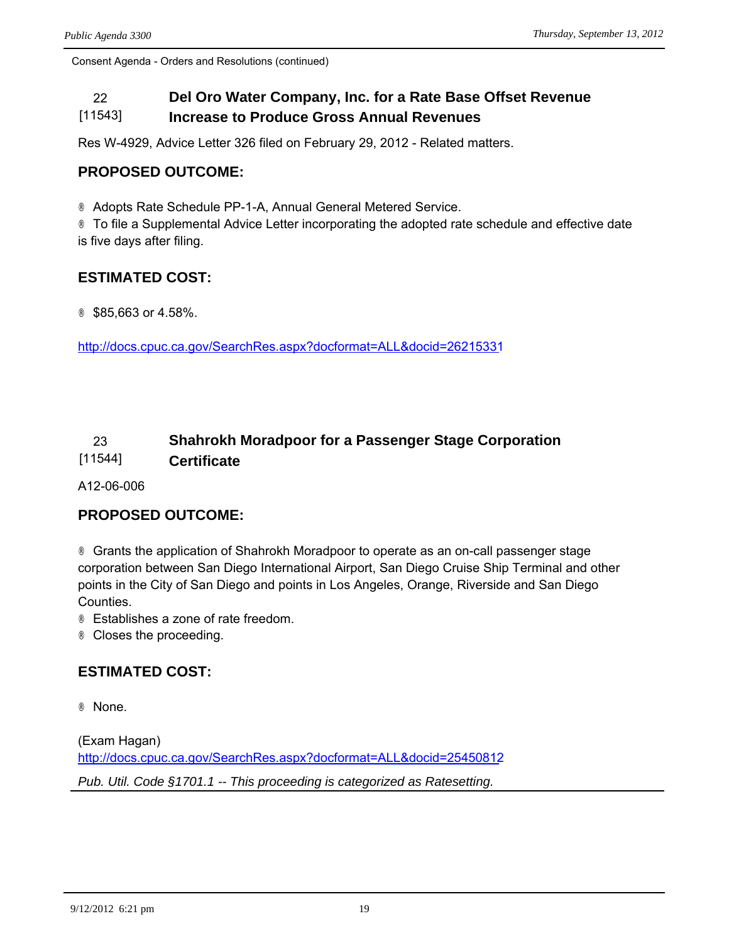### 22 **Del Oro Water Company, Inc. for a Rate Base Offset Revenue**  [11543] **Increase to Produce Gross Annual Revenues**

Res W-4929, Advice Letter 326 filed on February 29, 2012 - Related matters.

# **PROPOSED OUTCOME:**

® Adopts Rate Schedule PP-1-A, Annual General Metered Service.

® To file a Supplemental Advice Letter incorporating the adopted rate schedule and effective date is five days after filing.

# **ESTIMATED COST:**

® \$85,663 or 4.58%.

<http://docs.cpuc.ca.gov/SearchRes.aspx?docformat=ALL&docid=26215331>

### 23 **Shahrokh Moradpoor for a Passenger Stage Corporation**  [11544] **Certificate**

A12-06-006

## **PROPOSED OUTCOME:**

® Grants the application of Shahrokh Moradpoor to operate as an on-call passenger stage corporation between San Diego International Airport, San Diego Cruise Ship Terminal and other points in the City of San Diego and points in Los Angeles, Orange, Riverside and San Diego Counties.

® Establishes a zone of rate freedom.

® Closes the proceeding.

## **ESTIMATED COST:**

® None.

(Exam Hagan) <http://docs.cpuc.ca.gov/SearchRes.aspx?docformat=ALL&docid=25450812> *Pub. Util. Code §1701.1 -- This proceeding is categorized as Ratesetting.*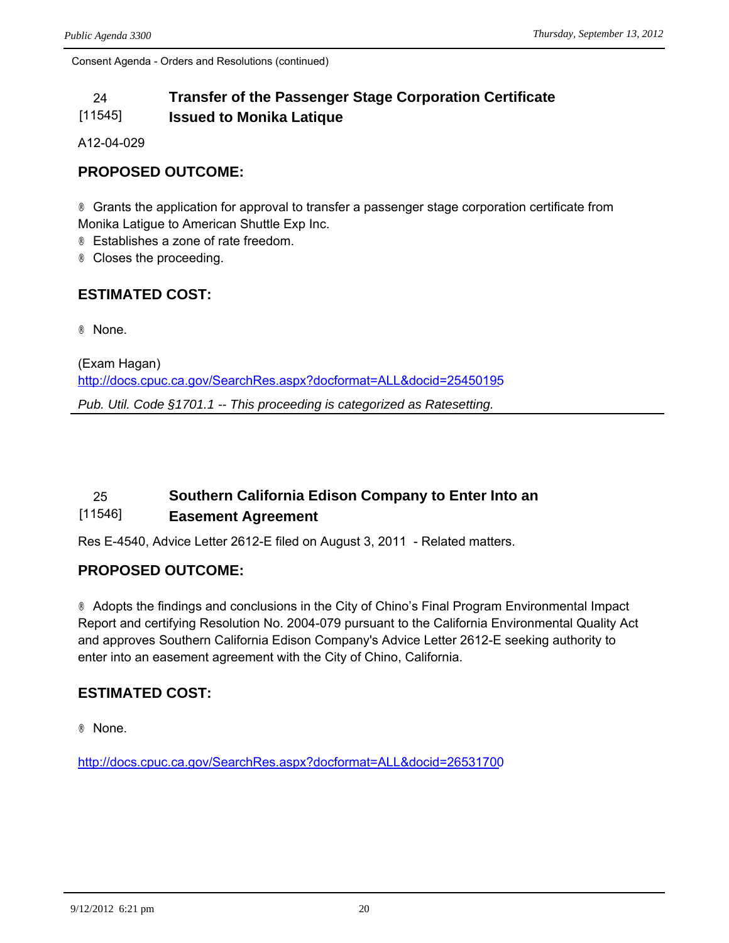### 24 **Transfer of the Passenger Stage Corporation Certificate**  [11545] **Issued to Monika Latique**

A12-04-029

# **PROPOSED OUTCOME:**

® Grants the application for approval to transfer a passenger stage corporation certificate from Monika Latigue to American Shuttle Exp Inc.

® Establishes a zone of rate freedom.

® Closes the proceeding.

# **ESTIMATED COST:**

® None.

(Exam Hagan) <http://docs.cpuc.ca.gov/SearchRes.aspx?docformat=ALL&docid=25450195> *Pub. Util. Code §1701.1 -- This proceeding is categorized as Ratesetting.*

### 25 **Southern California Edison Company to Enter Into an**  [11546] **Easement Agreement**

Res E-4540, Advice Letter 2612-E filed on August 3, 2011 - Related matters.

## **PROPOSED OUTCOME:**

® Adopts the findings and conclusions in the City of Chino's Final Program Environmental Impact Report and certifying Resolution No. 2004-079 pursuant to the California Environmental Quality Act and approves Southern California Edison Company's Advice Letter 2612-E seeking authority to enter into an easement agreement with the City of Chino, California.

# **ESTIMATED COST:**

® None.

<http://docs.cpuc.ca.gov/SearchRes.aspx?docformat=ALL&docid=26531700>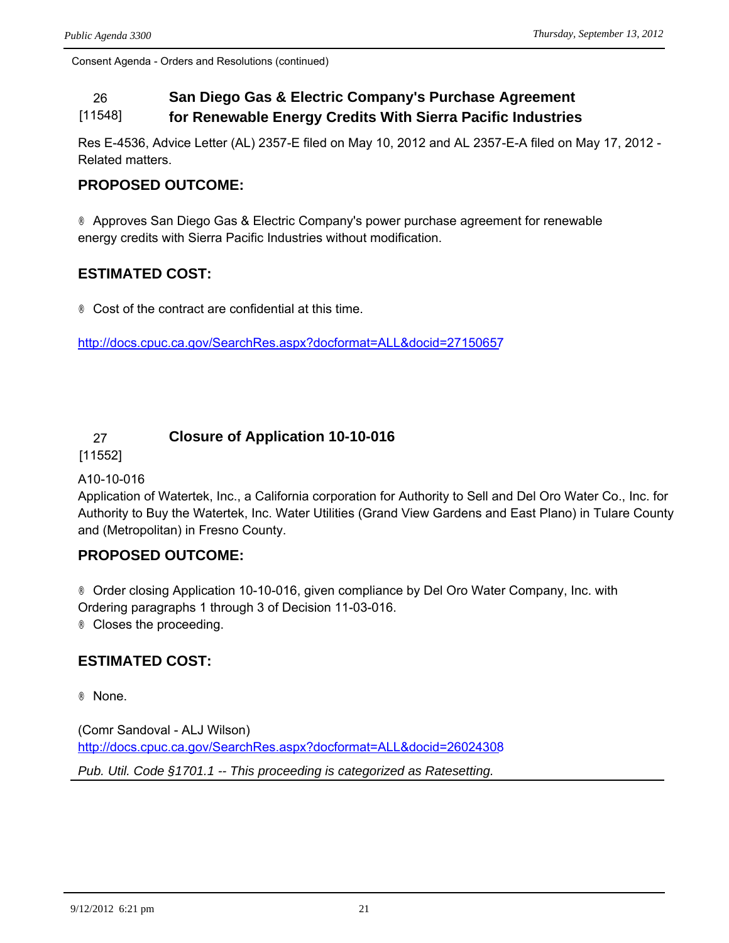### 26 **San Diego Gas & Electric Company's Purchase Agreement**  [11548] **for Renewable Energy Credits With Sierra Pacific Industries**

Res E-4536, Advice Letter (AL) 2357-E filed on May 10, 2012 and AL 2357-E-A filed on May 17, 2012 - Related matters.

# **PROPOSED OUTCOME:**

® Approves San Diego Gas & Electric Company's power purchase agreement for renewable energy credits with Sierra Pacific Industries without modification.

# **ESTIMATED COST:**

® Cost of the contract are confidential at this time.

<http://docs.cpuc.ca.gov/SearchRes.aspx?docformat=ALL&docid=27150657>

# 27 **Closure of Application 10-10-016**

[11552]

## A10-10-016

Application of Watertek, Inc., a California corporation for Authority to Sell and Del Oro Water Co., Inc. for Authority to Buy the Watertek, Inc. Water Utilities (Grand View Gardens and East Plano) in Tulare County and (Metropolitan) in Fresno County.

# **PROPOSED OUTCOME:**

® Order closing Application 10-10-016, given compliance by Del Oro Water Company, Inc. with Ordering paragraphs 1 through 3 of Decision 11-03-016. ® Closes the proceeding.

# **ESTIMATED COST:**

® None.

(Comr Sandoval - ALJ Wilson) <http://docs.cpuc.ca.gov/SearchRes.aspx?docformat=ALL&docid=26024308>

*Pub. Util. Code §1701.1 -- This proceeding is categorized as Ratesetting.*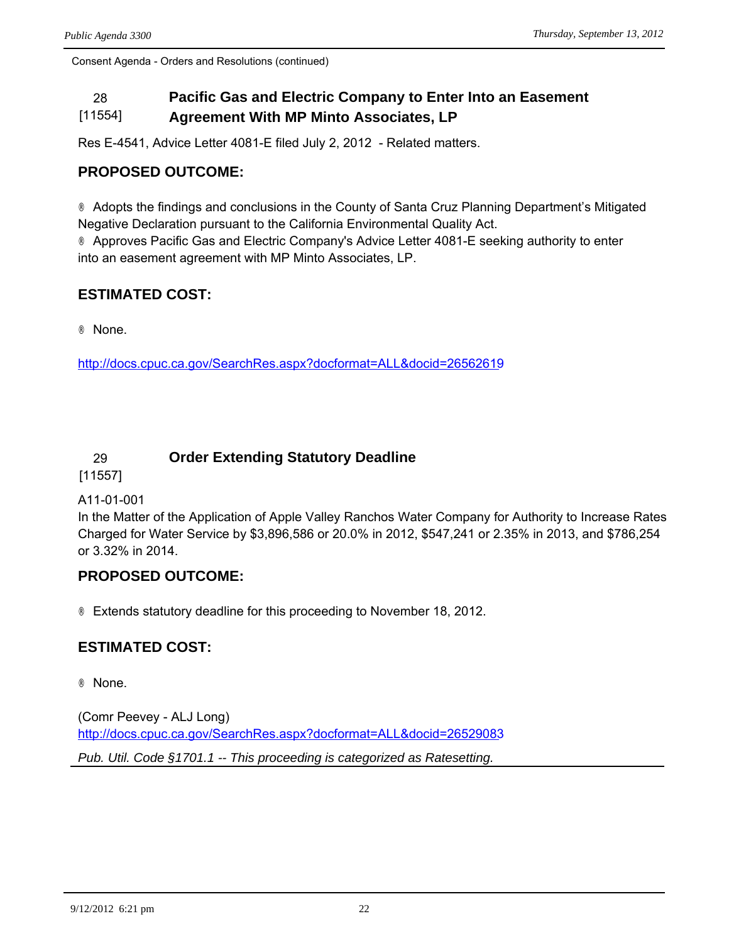### 28 **Pacific Gas and Electric Company to Enter Into an Easement**  [11554] **Agreement With MP Minto Associates, LP**

Res E-4541, Advice Letter 4081-E filed July 2, 2012 - Related matters.

# **PROPOSED OUTCOME:**

® Adopts the findings and conclusions in the County of Santa Cruz Planning Department's Mitigated Negative Declaration pursuant to the California Environmental Quality Act. ® Approves Pacific Gas and Electric Company's Advice Letter 4081-E seeking authority to enter into an easement agreement with MP Minto Associates, LP.

# **ESTIMATED COST:**

® None.

<http://docs.cpuc.ca.gov/SearchRes.aspx?docformat=ALL&docid=26562619>

# 29 **Order Extending Statutory Deadline**

[11557]

## A11-01-001

In the Matter of the Application of Apple Valley Ranchos Water Company for Authority to Increase Rates Charged for Water Service by \$3,896,586 or 20.0% in 2012, \$547,241 or 2.35% in 2013, and \$786,254 or 3.32% in 2014.

# **PROPOSED OUTCOME:**

® Extends statutory deadline for this proceeding to November 18, 2012.

# **ESTIMATED COST:**

® None.

(Comr Peevey - ALJ Long) <http://docs.cpuc.ca.gov/SearchRes.aspx?docformat=ALL&docid=26529083> *Pub. Util. Code §1701.1 -- This proceeding is categorized as Ratesetting.*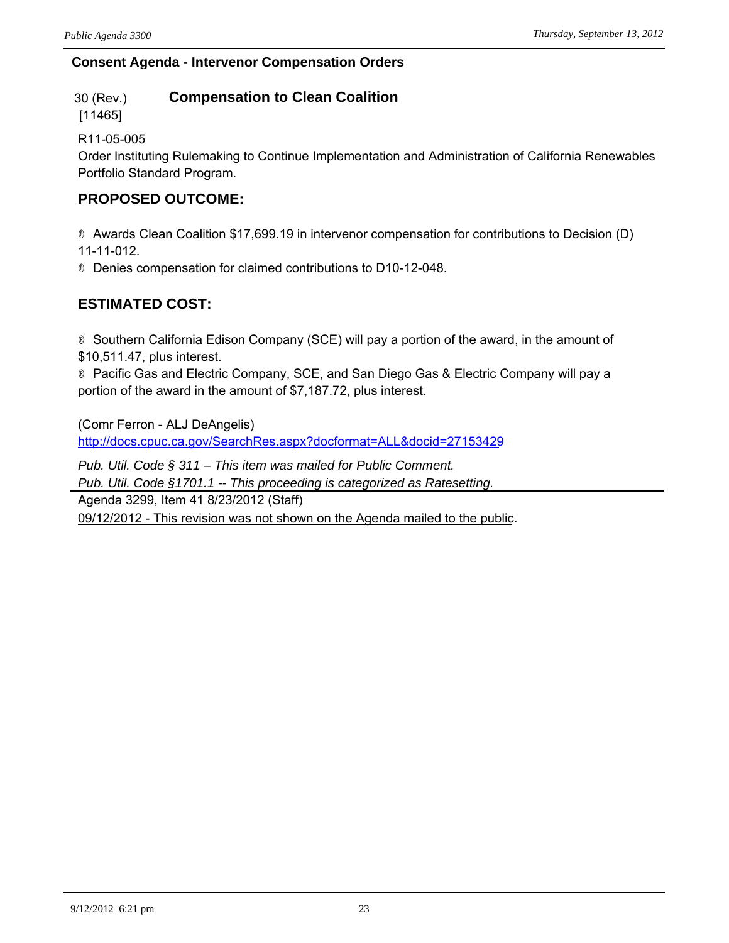# **Consent Agenda - Intervenor Compensation Orders**

#### 30 (Rev.) **Compensation to Clean Coalition**

[11465]

R11-05-005

Order Instituting Rulemaking to Continue Implementation and Administration of California Renewables Portfolio Standard Program.

# **PROPOSED OUTCOME:**

® Awards Clean Coalition \$17,699.19 in intervenor compensation for contributions to Decision (D) 11-11-012.

® Denies compensation for claimed contributions to D10-12-048.

# **ESTIMATED COST:**

® Southern California Edison Company (SCE) will pay a portion of the award, in the amount of \$10,511.47, plus interest.

® Pacific Gas and Electric Company, SCE, and San Diego Gas & Electric Company will pay a portion of the award in the amount of \$7,187.72, plus interest.

(Comr Ferron - ALJ DeAngelis) <http://docs.cpuc.ca.gov/SearchRes.aspx?docformat=ALL&docid=27153429>

*Pub. Util. Code § 311 – This item was mailed for Public Comment. Pub. Util. Code §1701.1 -- This proceeding is categorized as Ratesetting.*

Agenda 3299, Item 41 8/23/2012 (Staff)

09/12/2012 - This revision was not shown on the Agenda mailed to the public.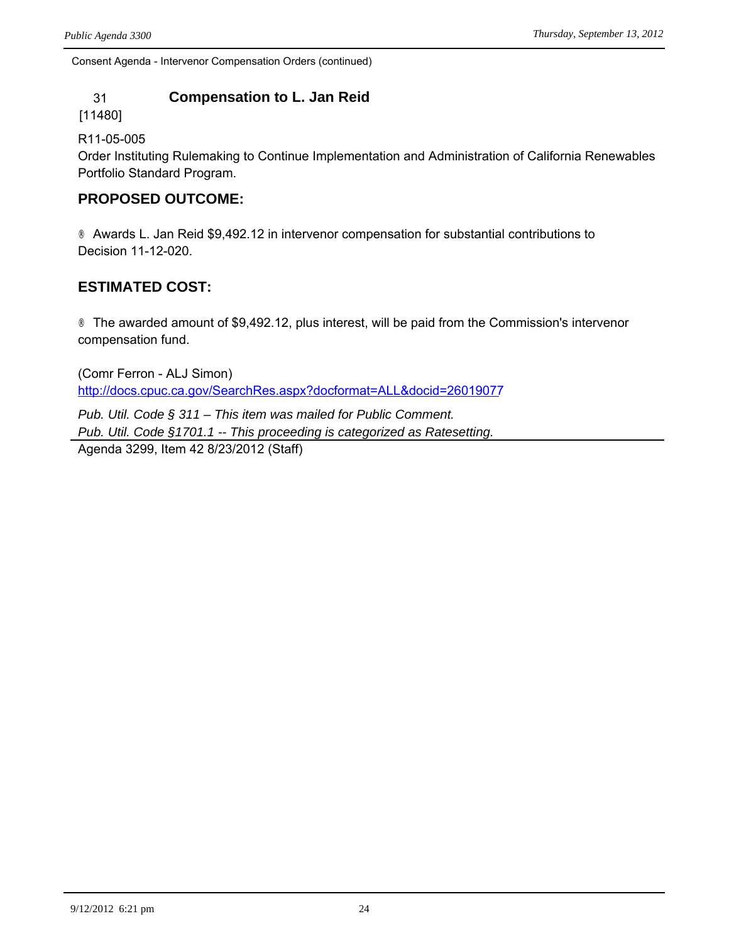Consent Agenda - Intervenor Compensation Orders (continued)

# 31 **Compensation to L. Jan Reid**

[11480]

## R11-05-005

Order Instituting Rulemaking to Continue Implementation and Administration of California Renewables Portfolio Standard Program.

# **PROPOSED OUTCOME:**

® Awards L. Jan Reid \$9,492.12 in intervenor compensation for substantial contributions to Decision 11-12-020.

# **ESTIMATED COST:**

® The awarded amount of \$9,492.12, plus interest, will be paid from the Commission's intervenor compensation fund.

(Comr Ferron - ALJ Simon) <http://docs.cpuc.ca.gov/SearchRes.aspx?docformat=ALL&docid=26019077>

*Pub. Util. Code § 311 – This item was mailed for Public Comment. Pub. Util. Code §1701.1 -- This proceeding is categorized as Ratesetting.* Agenda 3299, Item 42 8/23/2012 (Staff)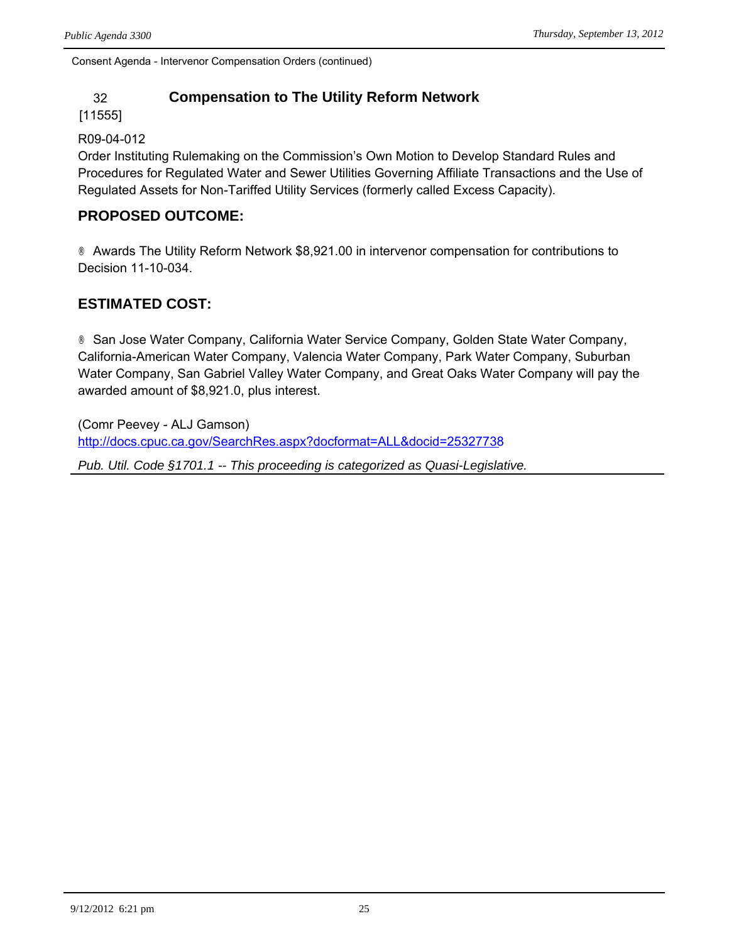Consent Agenda - Intervenor Compensation Orders (continued)

# 32 **Compensation to The Utility Reform Network**

### [11555]

## R09-04-012

Order Instituting Rulemaking on the Commission's Own Motion to Develop Standard Rules and Procedures for Regulated Water and Sewer Utilities Governing Affiliate Transactions and the Use of Regulated Assets for Non-Tariffed Utility Services (formerly called Excess Capacity).

# **PROPOSED OUTCOME:**

® Awards The Utility Reform Network \$8,921.00 in intervenor compensation for contributions to Decision 11-10-034.

# **ESTIMATED COST:**

® San Jose Water Company, California Water Service Company, Golden State Water Company, California-American Water Company, Valencia Water Company, Park Water Company, Suburban Water Company, San Gabriel Valley Water Company, and Great Oaks Water Company will pay the awarded amount of \$8,921.0, plus interest.

(Comr Peevey - ALJ Gamson) <http://docs.cpuc.ca.gov/SearchRes.aspx?docformat=ALL&docid=25327738>

*Pub. Util. Code §1701.1 -- This proceeding is categorized as Quasi-Legislative.*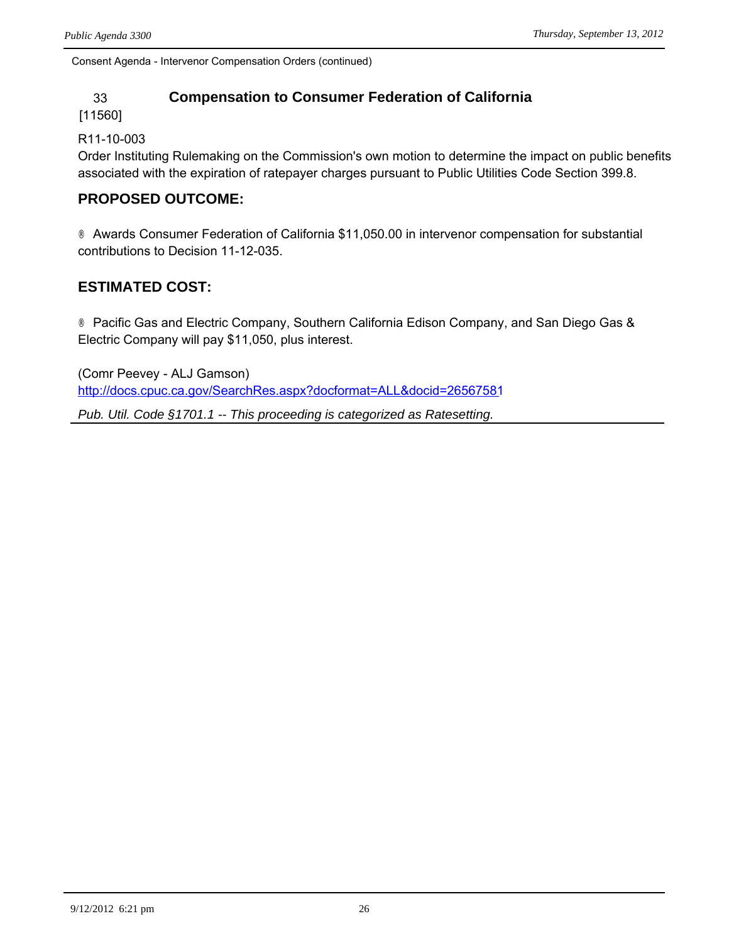Consent Agenda - Intervenor Compensation Orders (continued)

# 33 **Compensation to Consumer Federation of California**

### [11560]

### R11-10-003

Order Instituting Rulemaking on the Commission's own motion to determine the impact on public benefits associated with the expiration of ratepayer charges pursuant to Public Utilities Code Section 399.8.

# **PROPOSED OUTCOME:**

® Awards Consumer Federation of California \$11,050.00 in intervenor compensation for substantial contributions to Decision 11-12-035.

# **ESTIMATED COST:**

® Pacific Gas and Electric Company, Southern California Edison Company, and San Diego Gas & Electric Company will pay \$11,050, plus interest.

(Comr Peevey - ALJ Gamson) <http://docs.cpuc.ca.gov/SearchRes.aspx?docformat=ALL&docid=26567581>

*Pub. Util. Code §1701.1 -- This proceeding is categorized as Ratesetting.*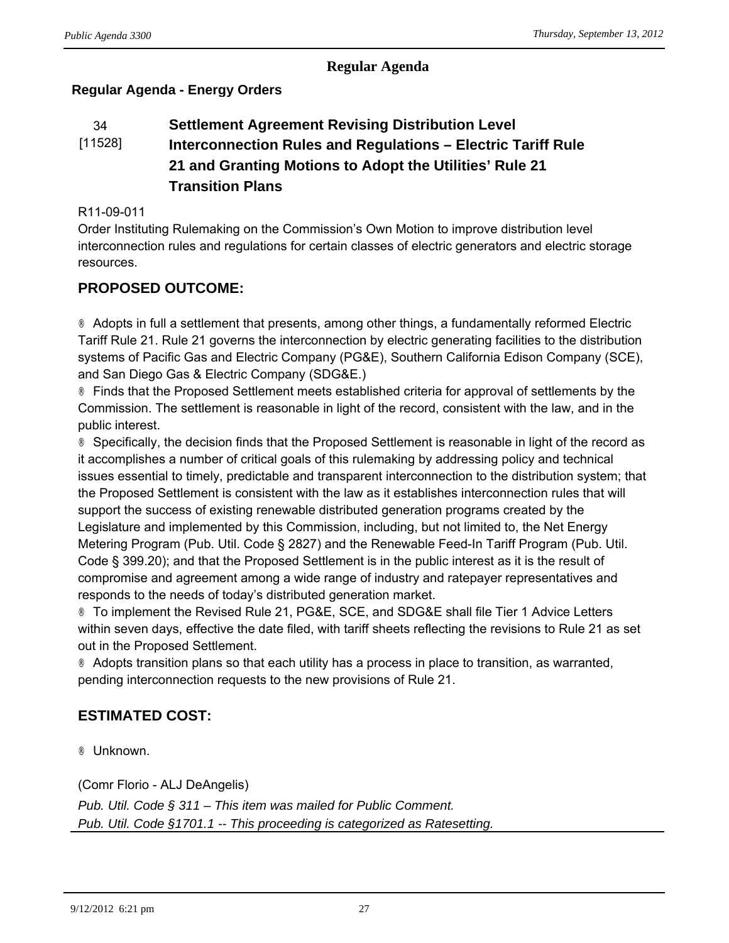## **Regular Agenda**

# **Regular Agenda - Energy Orders**

### 34 **Settlement Agreement Revising Distribution Level**  [11528] **Interconnection Rules and Regulations – Electric Tariff Rule 21 and Granting Motions to Adopt the Utilities' Rule 21 Transition Plans**

### R11-09-011

Order Instituting Rulemaking on the Commission's Own Motion to improve distribution level interconnection rules and regulations for certain classes of electric generators and electric storage resources.

# **PROPOSED OUTCOME:**

® Adopts in full a settlement that presents, among other things, a fundamentally reformed Electric Tariff Rule 21. Rule 21 governs the interconnection by electric generating facilities to the distribution systems of Pacific Gas and Electric Company (PG&E), Southern California Edison Company (SCE), and San Diego Gas & Electric Company (SDG&E.)

® Finds that the Proposed Settlement meets established criteria for approval of settlements by the Commission. The settlement is reasonable in light of the record, consistent with the law, and in the public interest.

® Specifically, the decision finds that the Proposed Settlement is reasonable in light of the record as it accomplishes a number of critical goals of this rulemaking by addressing policy and technical issues essential to timely, predictable and transparent interconnection to the distribution system; that the Proposed Settlement is consistent with the law as it establishes interconnection rules that will support the success of existing renewable distributed generation programs created by the Legislature and implemented by this Commission, including, but not limited to, the Net Energy Metering Program (Pub. Util. Code § 2827) and the Renewable Feed-In Tariff Program (Pub. Util. Code § 399.20); and that the Proposed Settlement is in the public interest as it is the result of compromise and agreement among a wide range of industry and ratepayer representatives and responds to the needs of today's distributed generation market.

® To implement the Revised Rule 21, PG&E, SCE, and SDG&E shall file Tier 1 Advice Letters within seven days, effective the date filed, with tariff sheets reflecting the revisions to Rule 21 as set out in the Proposed Settlement.

® Adopts transition plans so that each utility has a process in place to transition, as warranted, pending interconnection requests to the new provisions of Rule 21.

# **ESTIMATED COST:**

® Unknown.

(Comr Florio - ALJ DeAngelis) *Pub. Util. Code § 311 – This item was mailed for Public Comment. Pub. Util. Code §1701.1 -- This proceeding is categorized as Ratesetting.*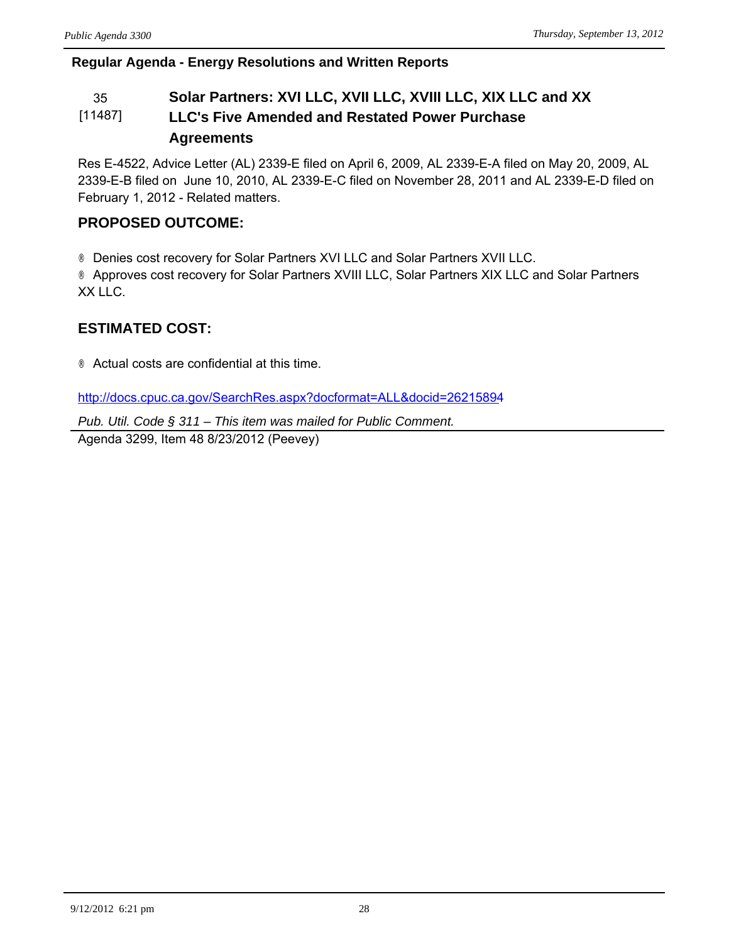# **Regular Agenda - Energy Resolutions and Written Reports**

### 35 **Solar Partners: XVI LLC, XVII LLC, XVIII LLC, XIX LLC and XX**  [11487] **LLC's Five Amended and Restated Power Purchase Agreements**

Res E-4522, Advice Letter (AL) 2339-E filed on April 6, 2009, AL 2339-E-A filed on May 20, 2009, AL 2339-E-B filed on June 10, 2010, AL 2339-E-C filed on November 28, 2011 and AL 2339-E-D filed on February 1, 2012 - Related matters.

# **PROPOSED OUTCOME:**

® Denies cost recovery for Solar Partners XVI LLC and Solar Partners XVII LLC. ® Approves cost recovery for Solar Partners XVIII LLC, Solar Partners XIX LLC and Solar Partners XX LLC.

# **ESTIMATED COST:**

® Actual costs are confidential at this time.

<http://docs.cpuc.ca.gov/SearchRes.aspx?docformat=ALL&docid=26215894>

*Pub. Util. Code § 311 – This item was mailed for Public Comment.*

Agenda 3299, Item 48 8/23/2012 (Peevey)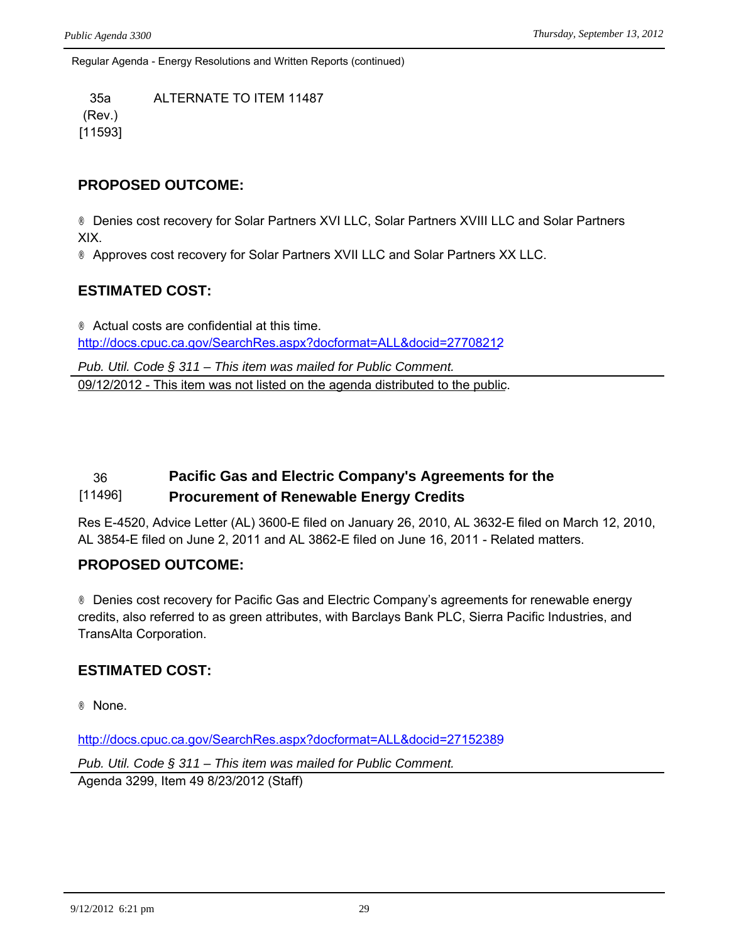Regular Agenda - Energy Resolutions and Written Reports (continued)

35a ALTERNATE TO ITEM 11487 (Rev.) [11593]

## **PROPOSED OUTCOME:**

® Denies cost recovery for Solar Partners XVI LLC, Solar Partners XVIII LLC and Solar Partners XIX.

® Approves cost recovery for Solar Partners XVII LLC and Solar Partners XX LLC.

# **ESTIMATED COST:**

® Actual costs are confidential at this time. <http://docs.cpuc.ca.gov/SearchRes.aspx?docformat=ALL&docid=27708212>

*Pub. Util. Code § 311 – This item was mailed for Public Comment.* 09/12/2012 - This item was not listed on the agenda distributed to the public.

### 36 **Pacific Gas and Electric Company's Agreements for the**  [11496] **Procurement of Renewable Energy Credits**

Res E-4520, Advice Letter (AL) 3600-E filed on January 26, 2010, AL 3632-E filed on March 12, 2010, AL 3854-E filed on June 2, 2011 and AL 3862-E filed on June 16, 2011 - Related matters.

## **PROPOSED OUTCOME:**

® Denies cost recovery for Pacific Gas and Electric Company's agreements for renewable energy credits, also referred to as green attributes, with Barclays Bank PLC, Sierra Pacific Industries, and TransAlta Corporation.

# **ESTIMATED COST:**

® None.

<http://docs.cpuc.ca.gov/SearchRes.aspx?docformat=ALL&docid=27152389>

*Pub. Util. Code § 311 – This item was mailed for Public Comment.* Agenda 3299, Item 49 8/23/2012 (Staff)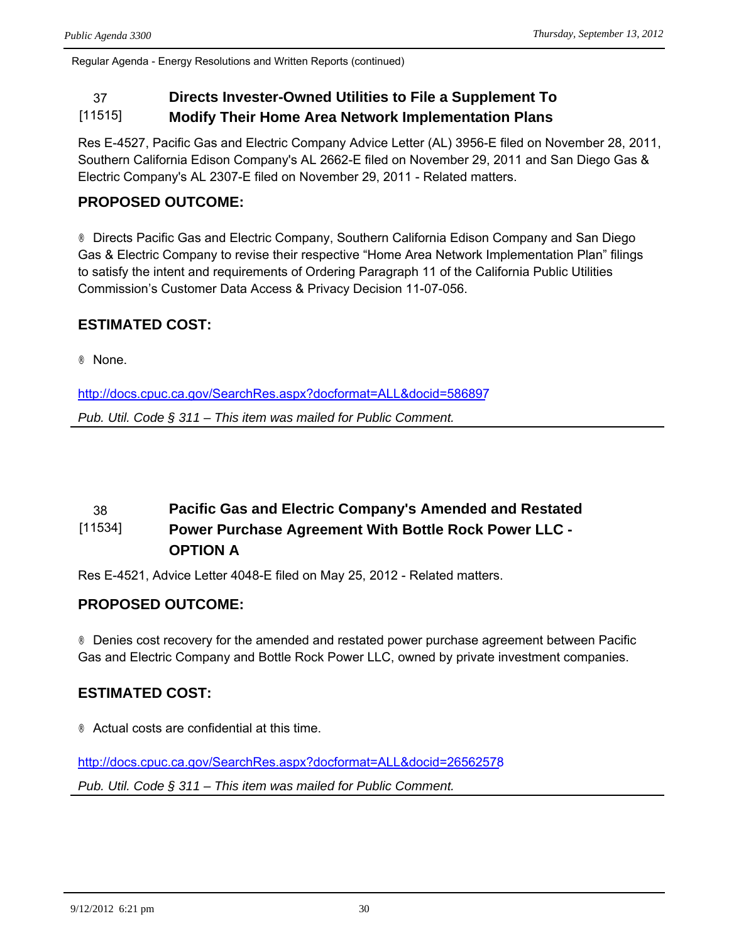Regular Agenda - Energy Resolutions and Written Reports (continued)

# 37 **Directs Invester-Owned Utilities to File a Supplement To**

#### [11515] **Modify Their Home Area Network Implementation Plans**

Res E-4527, Pacific Gas and Electric Company Advice Letter (AL) 3956-E filed on November 28, 2011, Southern California Edison Company's AL 2662-E filed on November 29, 2011 and San Diego Gas & Electric Company's AL 2307-E filed on November 29, 2011 - Related matters.

# **PROPOSED OUTCOME:**

® Directs Pacific Gas and Electric Company, Southern California Edison Company and San Diego Gas & Electric Company to revise their respective "Home Area Network Implementation Plan" filings to satisfy the intent and requirements of Ordering Paragraph 11 of the California Public Utilities Commission's Customer Data Access & Privacy Decision 11-07-056.

# **ESTIMATED COST:**

® None.

<http://docs.cpuc.ca.gov/SearchRes.aspx?docformat=ALL&docid=586897>

*Pub. Util. Code § 311 – This item was mailed for Public Comment.*

### 38 **Pacific Gas and Electric Company's Amended and Restated**  [11534] **Power Purchase Agreement With Bottle Rock Power LLC - OPTION A**

Res E-4521, Advice Letter 4048-E filed on May 25, 2012 - Related matters.

# **PROPOSED OUTCOME:**

® Denies cost recovery for the amended and restated power purchase agreement between Pacific Gas and Electric Company and Bottle Rock Power LLC, owned by private investment companies.

# **ESTIMATED COST:**

® Actual costs are confidential at this time.

<http://docs.cpuc.ca.gov/SearchRes.aspx?docformat=ALL&docid=26562578> *Pub. Util. Code § 311 – This item was mailed for Public Comment.*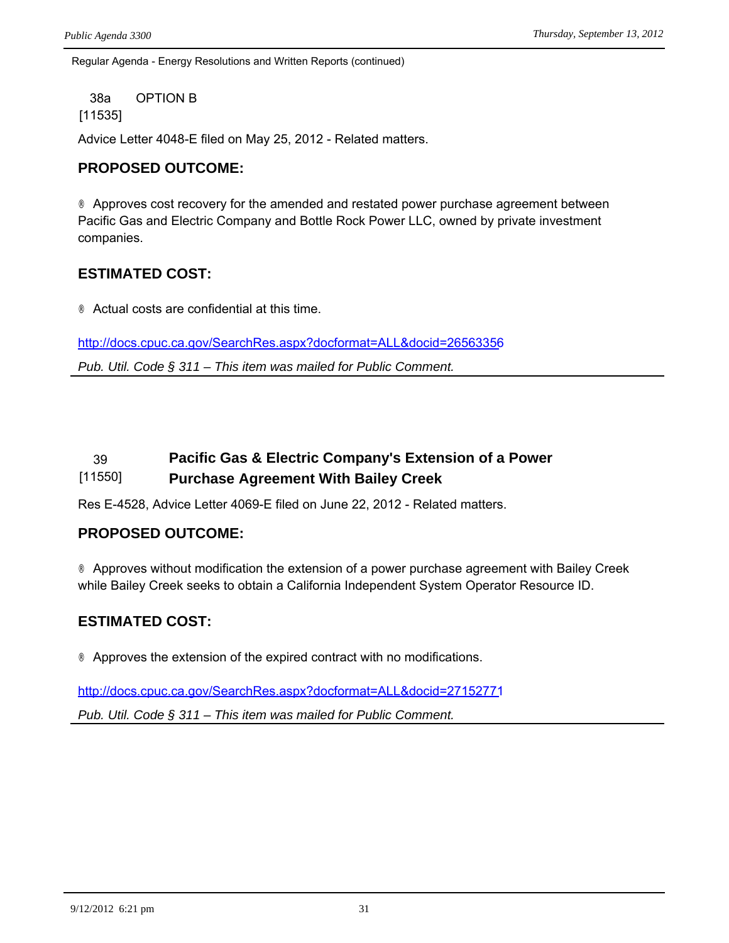Regular Agenda - Energy Resolutions and Written Reports (continued)

38a OPTION B

### [11535]

Advice Letter 4048-E filed on May 25, 2012 - Related matters.

## **PROPOSED OUTCOME:**

® Approves cost recovery for the amended and restated power purchase agreement between Pacific Gas and Electric Company and Bottle Rock Power LLC, owned by private investment companies.

# **ESTIMATED COST:**

® Actual costs are confidential at this time.

<http://docs.cpuc.ca.gov/SearchRes.aspx?docformat=ALL&docid=26563356>

*Pub. Util. Code § 311 – This item was mailed for Public Comment.*

### 39 **Pacific Gas & Electric Company's Extension of a Power**  [11550] **Purchase Agreement With Bailey Creek**

Res E-4528, Advice Letter 4069-E filed on June 22, 2012 - Related matters.

## **PROPOSED OUTCOME:**

® Approves without modification the extension of a power purchase agreement with Bailey Creek while Bailey Creek seeks to obtain a California Independent System Operator Resource ID.

# **ESTIMATED COST:**

® Approves the extension of the expired contract with no modifications.

<http://docs.cpuc.ca.gov/SearchRes.aspx?docformat=ALL&docid=27152771>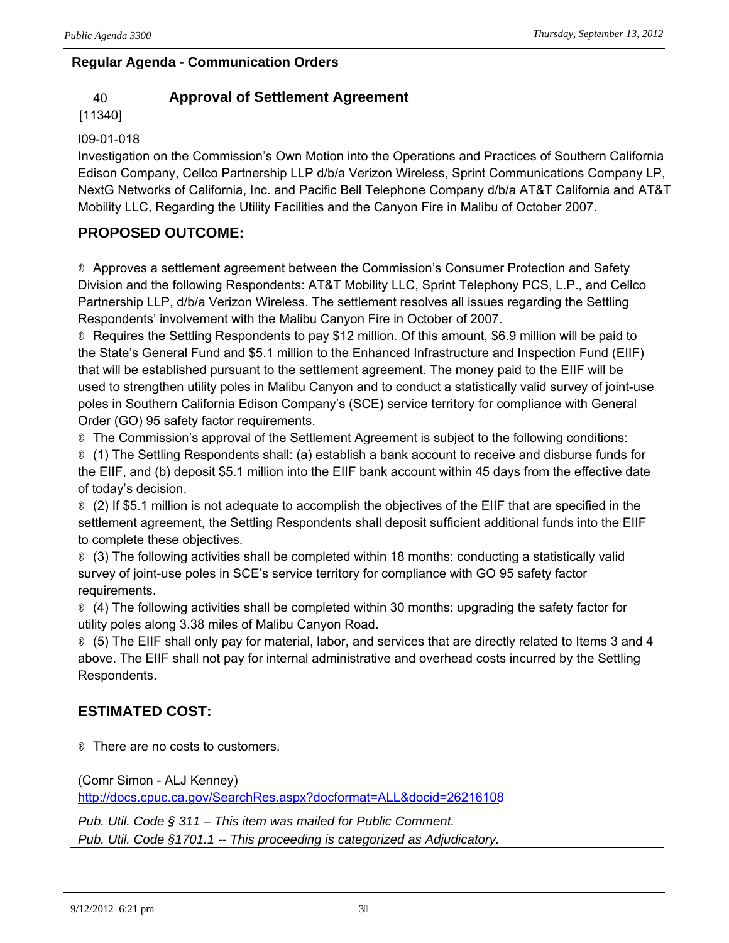# **Regular Agenda - Communication Orders**

# 40 **Approval of Settlement Agreement**

## [11340]

## I09-01-018

Investigation on the Commission's Own Motion into the Operations and Practices of Southern California Edison Company, Cellco Partnership LLP d/b/a Verizon Wireless, Sprint Communications Company LP, NextG Networks of California, Inc. and Pacific Bell Telephone Company d/b/a AT&T California and AT&T Mobility LLC, Regarding the Utility Facilities and the Canyon Fire in Malibu of October 2007.

# **PROPOSED OUTCOME:**

® Approves a settlement agreement between the Commission's Consumer Protection and Safety Division and the following Respondents: AT&T Mobility LLC, Sprint Telephony PCS, L.P., and Cellco Partnership LLP, d/b/a Verizon Wireless. The settlement resolves all issues regarding the Settling Respondents' involvement with the Malibu Canyon Fire in October of 2007.

® Requires the Settling Respondents to pay \$12 million. Of this amount, \$6.9 million will be paid to the State's General Fund and \$5.1 million to the Enhanced Infrastructure and Inspection Fund (EIIF) that will be established pursuant to the settlement agreement. The money paid to the EIIF will be used to strengthen utility poles in Malibu Canyon and to conduct a statistically valid survey of joint-use poles in Southern California Edison Company's (SCE) service territory for compliance with General Order (GO) 95 safety factor requirements.

® The Commission's approval of the Settlement Agreement is subject to the following conditions:

® (1) The Settling Respondents shall: (a) establish a bank account to receive and disburse funds for the EIIF, and (b) deposit \$5.1 million into the EIIF bank account within 45 days from the effective date of today's decision.

® (2) If \$5.1 million is not adequate to accomplish the objectives of the EIIF that are specified in the settlement agreement, the Settling Respondents shall deposit sufficient additional funds into the EIIF to complete these objectives.

® (3) The following activities shall be completed within 18 months: conducting a statistically valid survey of joint-use poles in SCE's service territory for compliance with GO 95 safety factor requirements.

® (4) The following activities shall be completed within 30 months: upgrading the safety factor for utility poles along 3.38 miles of Malibu Canyon Road.

® (5) The EIIF shall only pay for material, labor, and services that are directly related to Items 3 and 4 above. The EIIF shall not pay for internal administrative and overhead costs incurred by the Settling Respondents.

# **ESTIMATED COST:**

® There are no costs to customers.

(Comr Simon - ALJ Kenney) <http://docs.cpuc.ca.gov/SearchRes.aspx?docformat=ALL&docid=26216108>

*Pub. Util. Code § 311 – This item was mailed for Public Comment. Pub. Util. Code §1701.1 -- This proceeding is categorized as Adjudicatory.*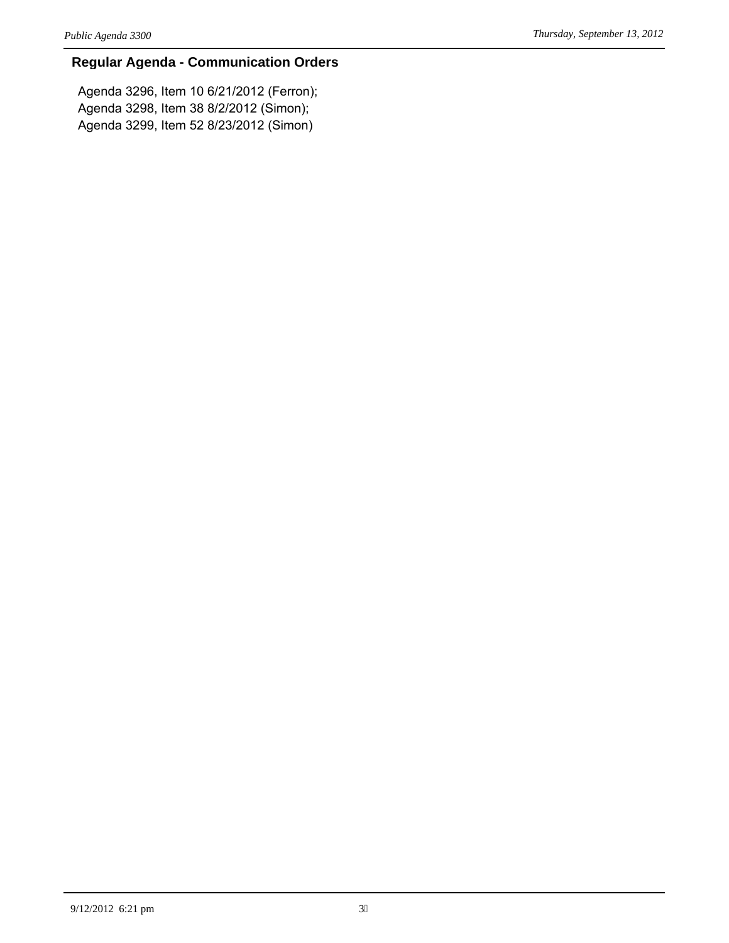## **Regular Agenda - Communication Orders**

Agenda 3296, Item 10 6/21/2012 (Ferron); Agenda 3298, Item 38 8/2/2012 (Simon); Agenda 3299, Item 52 8/23/2012 (Simon)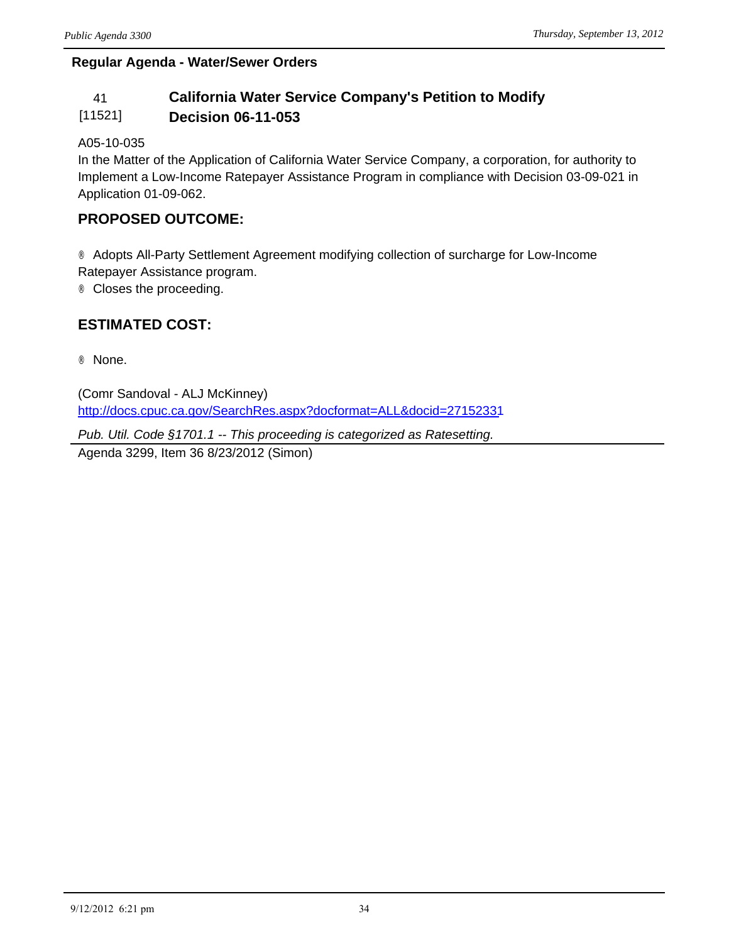# **Regular Agenda - Water/Sewer Orders**

### 41 **California Water Service Company's Petition to Modify**  [11521] **Decision 06-11-053**

## A05-10-035

In the Matter of the Application of California Water Service Company, a corporation, for authority to Implement a Low-Income Ratepayer Assistance Program in compliance with Decision 03-09-021 in Application 01-09-062.

## **PROPOSED OUTCOME:**

® Adopts All-Party Settlement Agreement modifying collection of surcharge for Low-Income Ratepayer Assistance program.

® Closes the proceeding.

# **ESTIMATED COST:**

® None.

(Comr Sandoval - ALJ McKinney) http://docs.cpuc.ca.gov/SearchRes.aspx?docformat=ALL&docid=27152331

*Pub. Util. Code §1701.1 -- This proceeding is categorized as Ratesetting.* Agenda 3299, Item 36 8/23/2012 (Simon)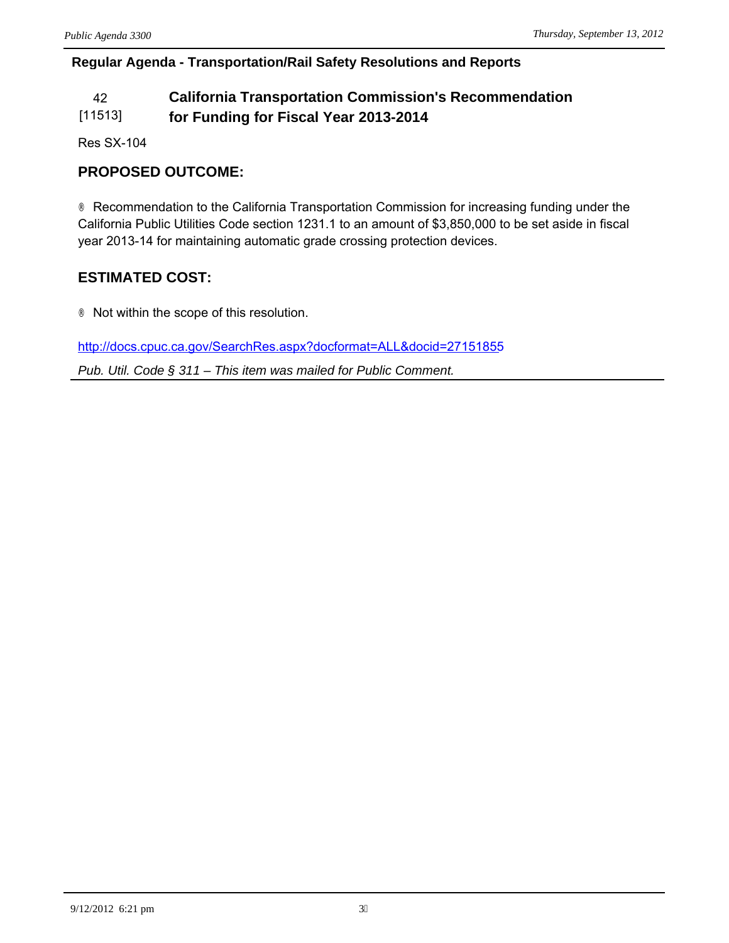## **Regular Agenda - Transportation/Rail Safety Resolutions and Reports**

### 42 **California Transportation Commission's Recommendation**  [11513] **for Funding for Fiscal Year 2013-2014**

Res SX-104

# **PROPOSED OUTCOME:**

® Recommendation to the California Transportation Commission for increasing funding under the California Public Utilities Code section 1231.1 to an amount of \$3,850,000 to be set aside in fiscal year 2013-14 for maintaining automatic grade crossing protection devices.

# **ESTIMATED COST:**

® Not within the scope of this resolution.

<http://docs.cpuc.ca.gov/SearchRes.aspx?docformat=ALL&docid=27151855>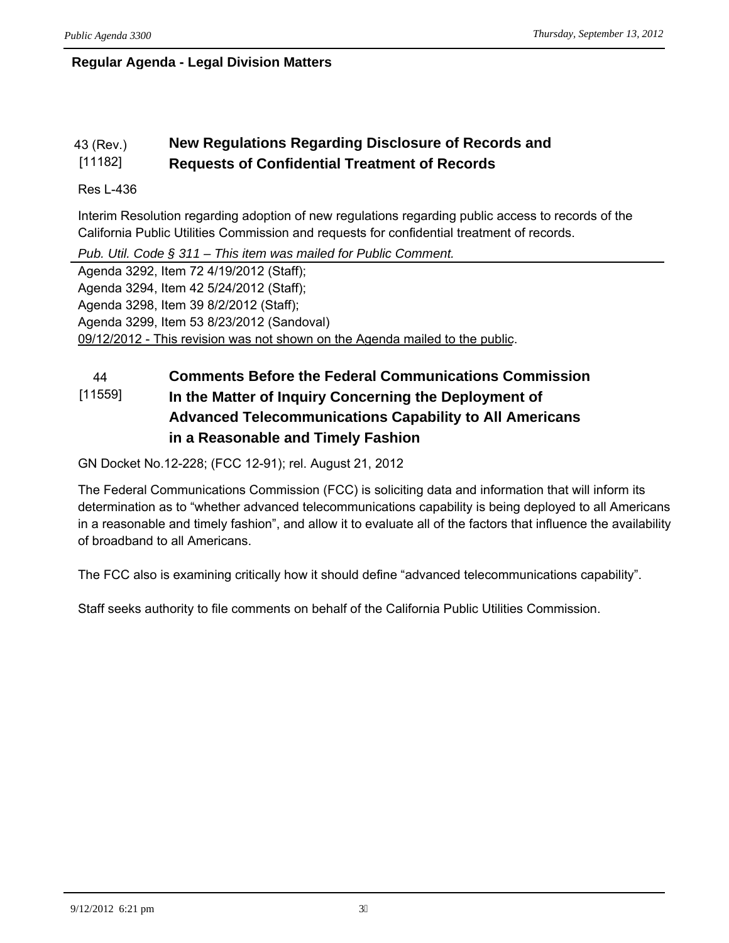# **Regular Agenda - Legal Division Matters**

#### 43 (Rev.) [11182] **New Regulations Regarding Disclosure of Records and Requests of Confidential Treatment of Records**

## Res L-436

Interim Resolution regarding adoption of new regulations regarding public access to records of the California Public Utilities Commission and requests for confidential treatment of records.

*Pub. Util. Code § 311 – This item was mailed for Public Comment.*

Agenda 3292, Item 72 4/19/2012 (Staff); Agenda 3294, Item 42 5/24/2012 (Staff); Agenda 3298, Item 39 8/2/2012 (Staff); Agenda 3299, Item 53 8/23/2012 (Sandoval) 09/12/2012 - This revision was not shown on the Agenda mailed to the public.

### 44 **Comments Before the Federal Communications Commission**  [11559] **In the Matter of Inquiry Concerning the Deployment of Advanced Telecommunications Capability to All Americans in a Reasonable and Timely Fashion**

GN Docket No.12-228; (FCC 12-91); rel. August 21, 2012

The Federal Communications Commission (FCC) is soliciting data and information that will inform its determination as to "whether advanced telecommunications capability is being deployed to all Americans in a reasonable and timely fashion", and allow it to evaluate all of the factors that influence the availability of broadband to all Americans.

The FCC also is examining critically how it should define "advanced telecommunications capability".

Staff seeks authority to file comments on behalf of the California Public Utilities Commission.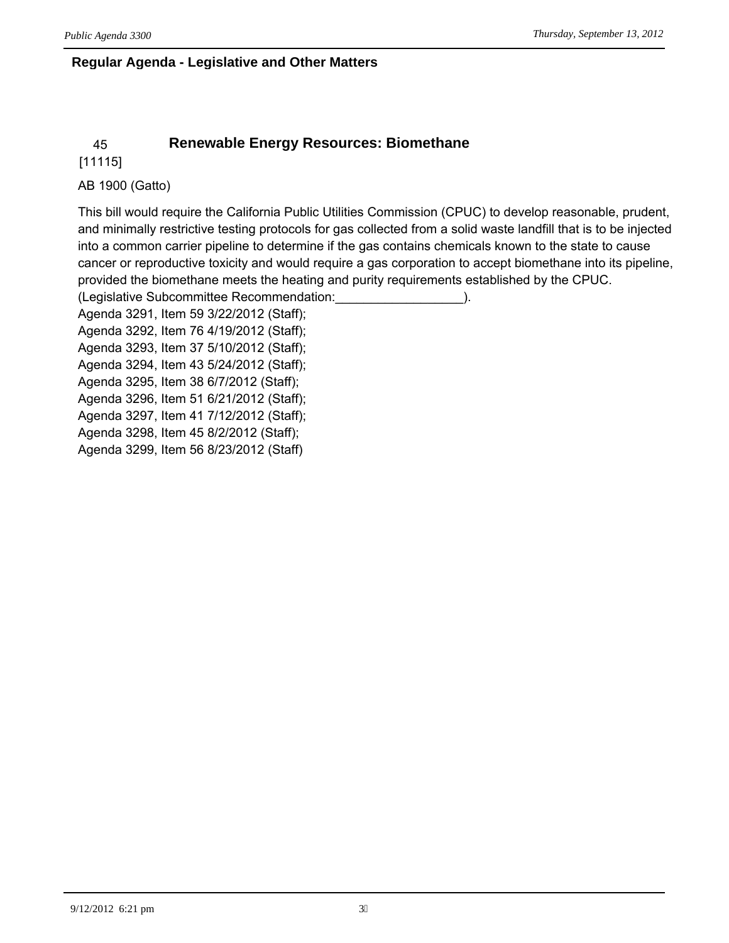## **Regular Agenda - Legislative and Other Matters**

# 45 **Renewable Energy Resources: Biomethane**

[11115]

## AB 1900 (Gatto)

This bill would require the California Public Utilities Commission (CPUC) to develop reasonable, prudent, and minimally restrictive testing protocols for gas collected from a solid waste landfill that is to be injected into a common carrier pipeline to determine if the gas contains chemicals known to the state to cause cancer or reproductive toxicity and would require a gas corporation to accept biomethane into its pipeline, provided the biomethane meets the heating and purity requirements established by the CPUC.

(Legislative Subcommittee Recommendation:\_\_\_\_\_\_\_\_\_\_\_\_\_\_\_\_\_\_).

Agenda 3291, Item 59 3/22/2012 (Staff); Agenda 3292, Item 76 4/19/2012 (Staff); Agenda 3293, Item 37 5/10/2012 (Staff); Agenda 3294, Item 43 5/24/2012 (Staff); Agenda 3295, Item 38 6/7/2012 (Staff); Agenda 3296, Item 51 6/21/2012 (Staff); Agenda 3297, Item 41 7/12/2012 (Staff); Agenda 3298, Item 45 8/2/2012 (Staff); Agenda 3299, Item 56 8/23/2012 (Staff)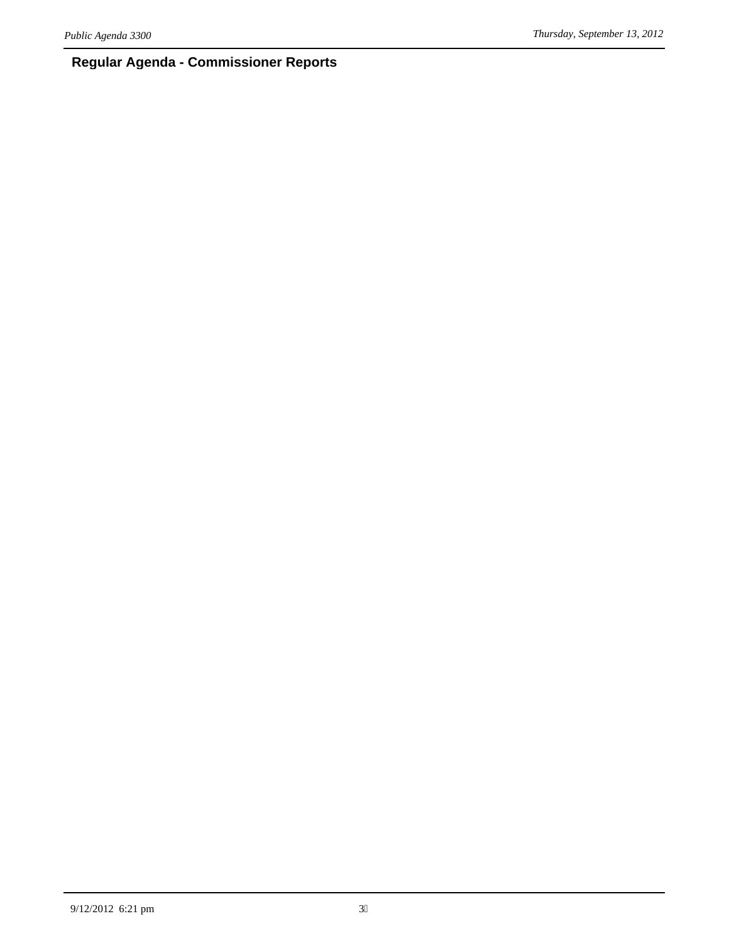# **Regular Agenda - Commissioner Reports**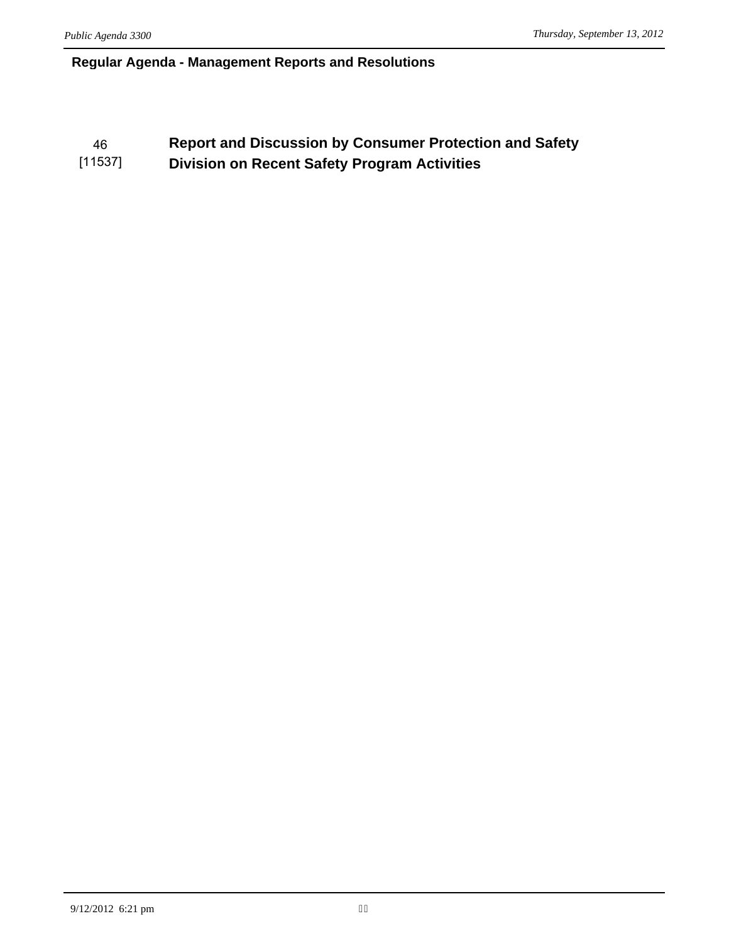## **Regular Agenda - Management Reports and Resolutions**

### 46 **Report and Discussion by Consumer Protection and Safety**  [11537] **Division on Recent Safety Program Activities**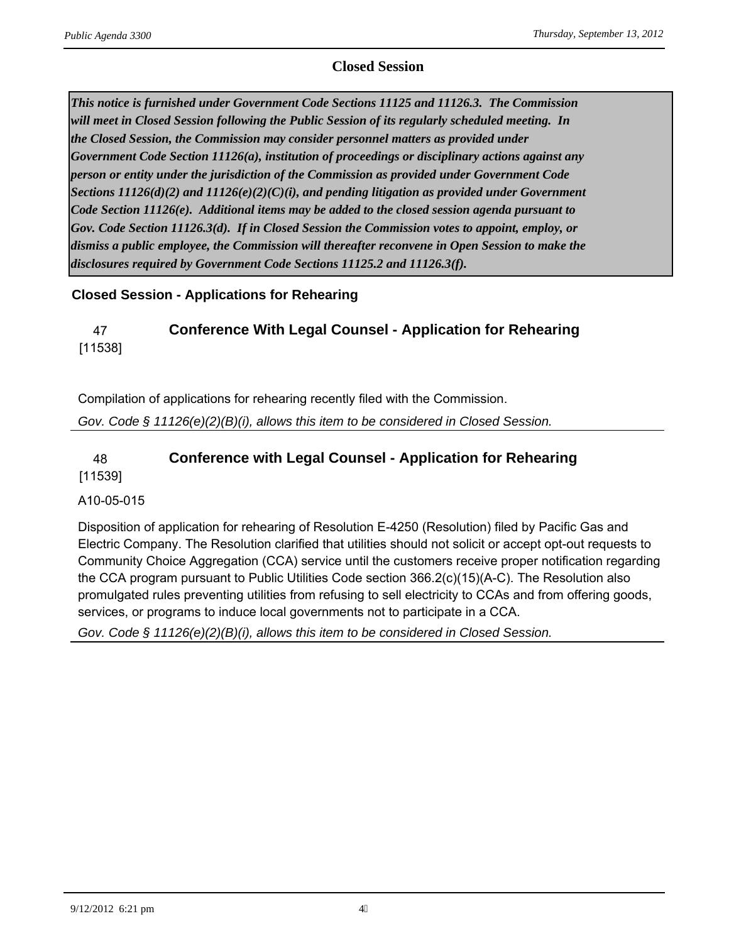## **Closed Session**

*This notice is furnished under Government Code Sections 11125 and 11126.3. The Commission will meet in Closed Session following the Public Session of its regularly scheduled meeting. In the Closed Session, the Commission may consider personnel matters as provided under Government Code Section 11126(a), institution of proceedings or disciplinary actions against any person or entity under the jurisdiction of the Commission as provided under Government Code Sections 11126(d)(2) and 11126(e)(2)(C)(i), and pending litigation as provided under Government Code Section 11126(e). Additional items may be added to the closed session agenda pursuant to Gov. Code Section 11126.3(d). If in Closed Session the Commission votes to appoint, employ, or dismiss a public employee, the Commission will thereafter reconvene in Open Session to make the disclosures required by Government Code Sections 11125.2 and 11126.3(f).*

## **Closed Session - Applications for Rehearing**

# 47 **Conference With Legal Counsel - Application for Rehearing** [11538]

Compilation of applications for rehearing recently filed with the Commission.

*Gov. Code § 11126(e)(2)(B)(i), allows this item to be considered in Closed Session.*

## 48 **Conference with Legal Counsel - Application for Rehearing** [11539]

## A10-05-015

Disposition of application for rehearing of Resolution E-4250 (Resolution) filed by Pacific Gas and Electric Company. The Resolution clarified that utilities should not solicit or accept opt-out requests to Community Choice Aggregation (CCA) service until the customers receive proper notification regarding the CCA program pursuant to Public Utilities Code section 366.2(c)(15)(A-C). The Resolution also promulgated rules preventing utilities from refusing to sell electricity to CCAs and from offering goods, services, or programs to induce local governments not to participate in a CCA.

*Gov. Code § 11126(e)(2)(B)(i), allows this item to be considered in Closed Session.*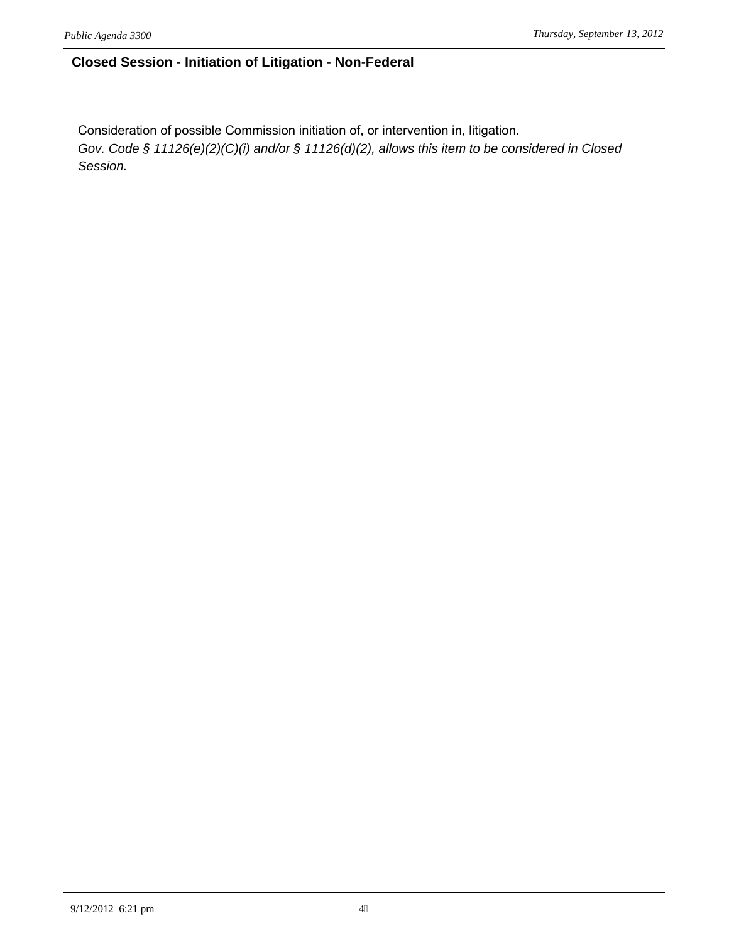## **Closed Session - Initiation of Litigation - Non-Federal**

Consideration of possible Commission initiation of, or intervention in, litigation. *Gov. Code § 11126(e)(2)(C)(i) and/or § 11126(d)(2), allows this item to be considered in Closed Session.*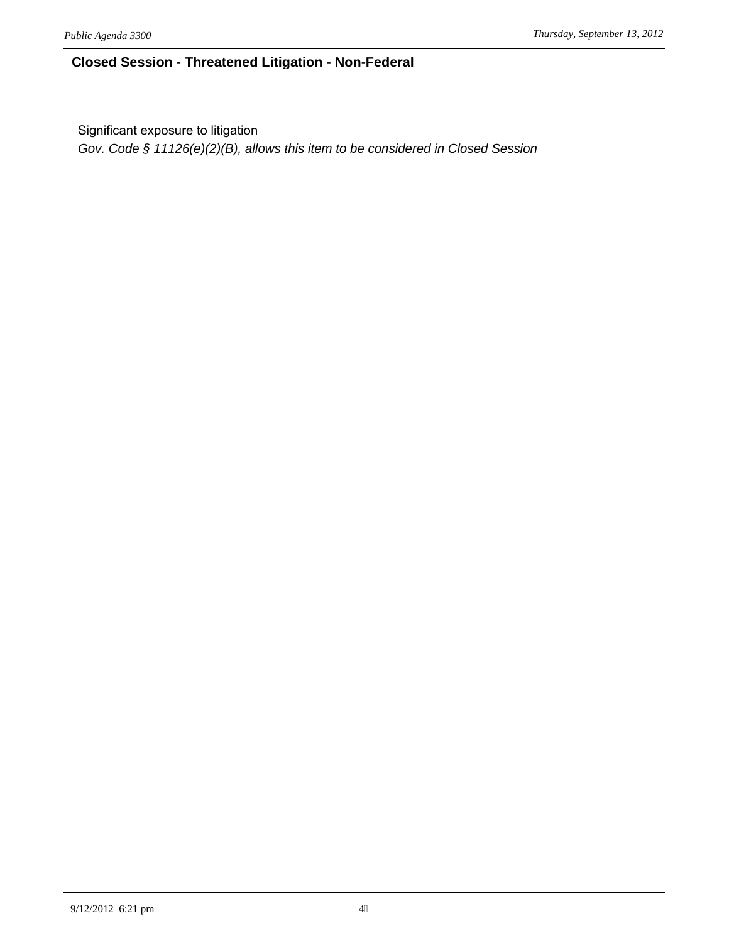## **Closed Session - Threatened Litigation - Non-Federal**

Significant exposure to litigation

*Gov. Code § 11126(e)(2)(B), allows this item to be considered in Closed Session*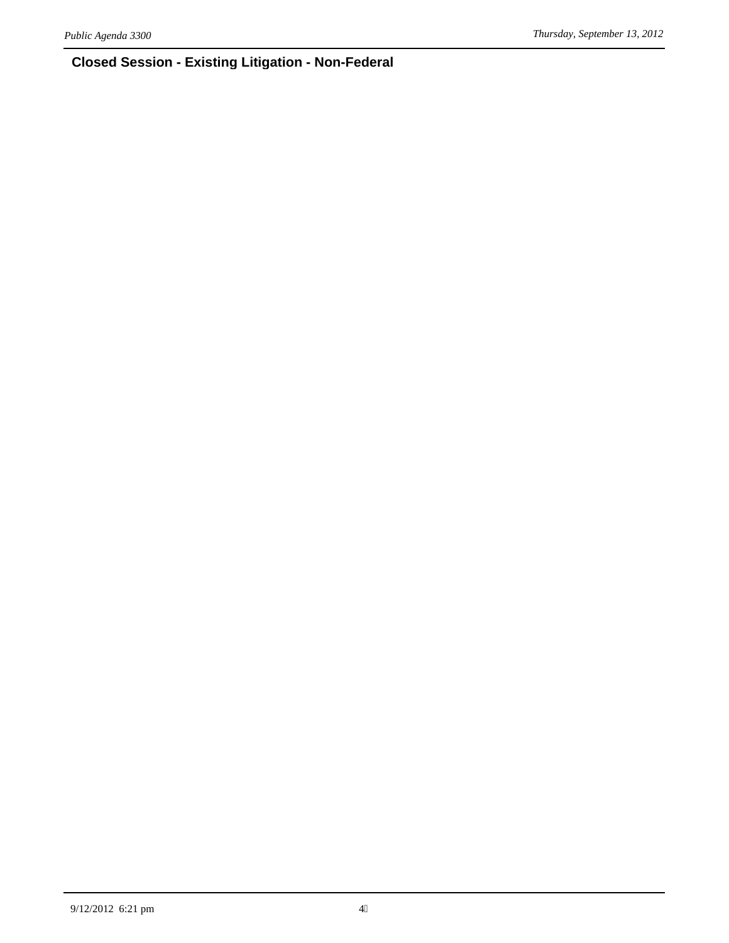# **Closed Session - Existing Litigation - Non-Federal**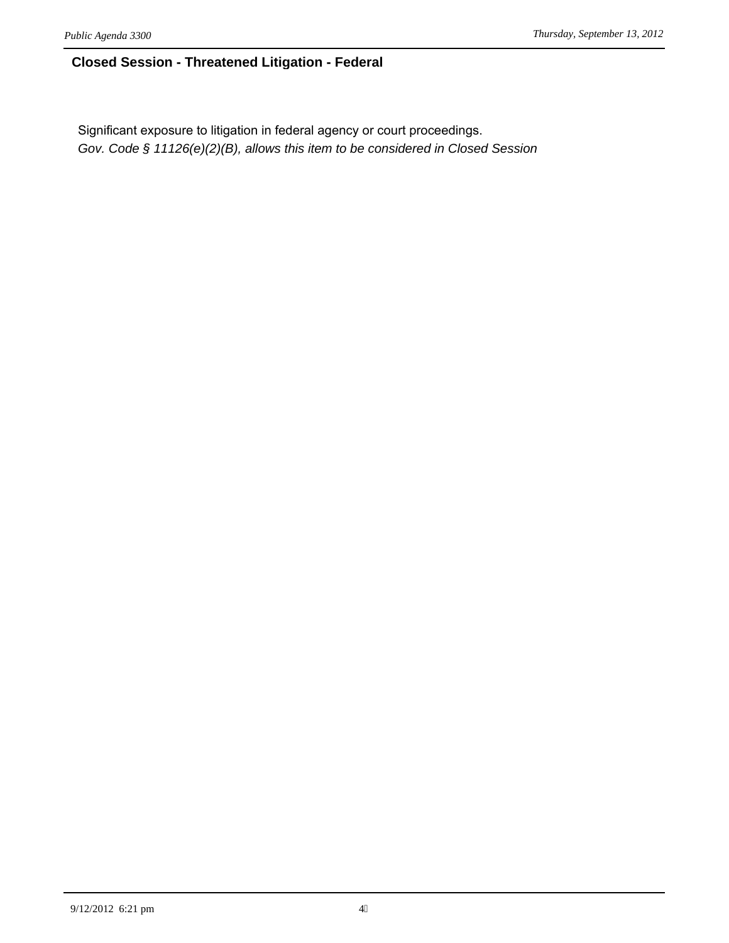## **Closed Session - Threatened Litigation - Federal**

Significant exposure to litigation in federal agency or court proceedings. *Gov. Code § 11126(e)(2)(B), allows this item to be considered in Closed Session*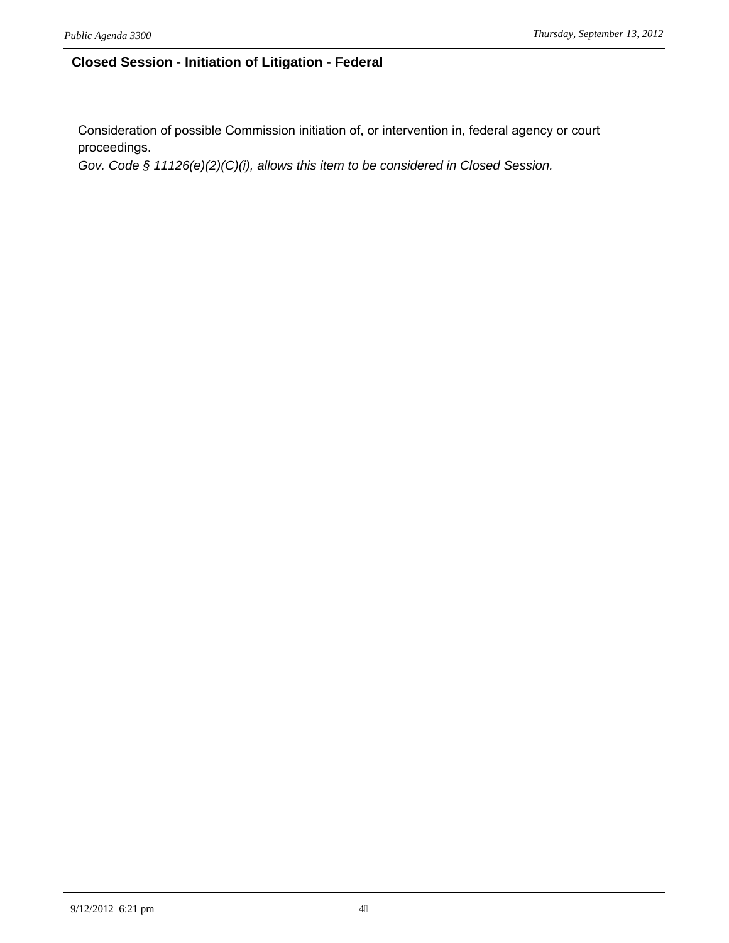## **Closed Session - Initiation of Litigation - Federal**

Consideration of possible Commission initiation of, or intervention in, federal agency or court proceedings.

*Gov. Code § 11126(e)(2)(C)(i), allows this item to be considered in Closed Session.*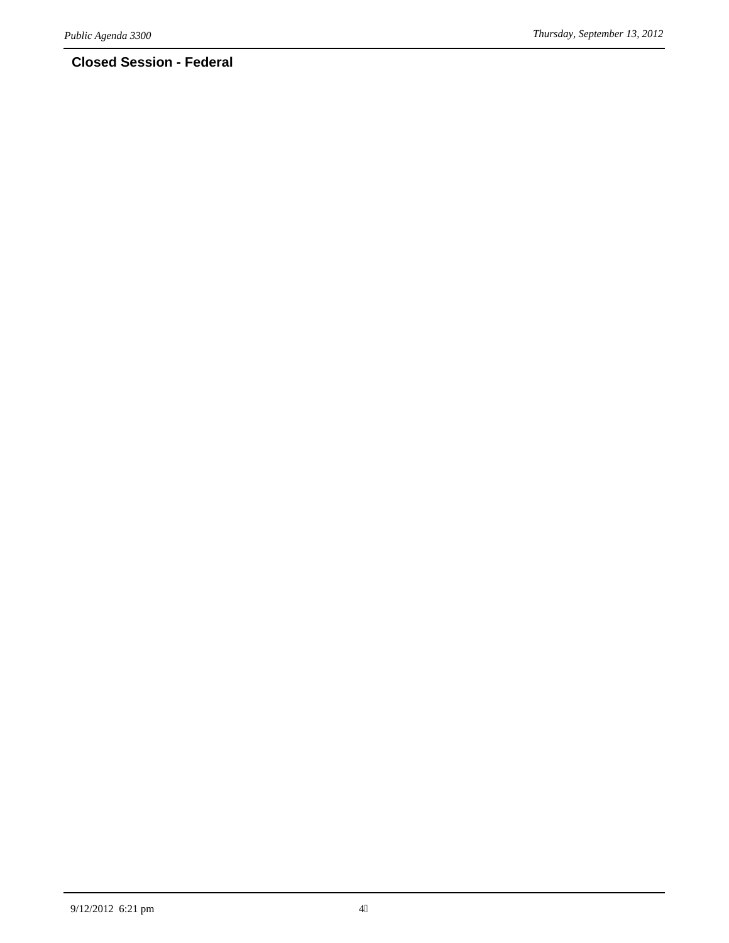# **Closed Session - Federal**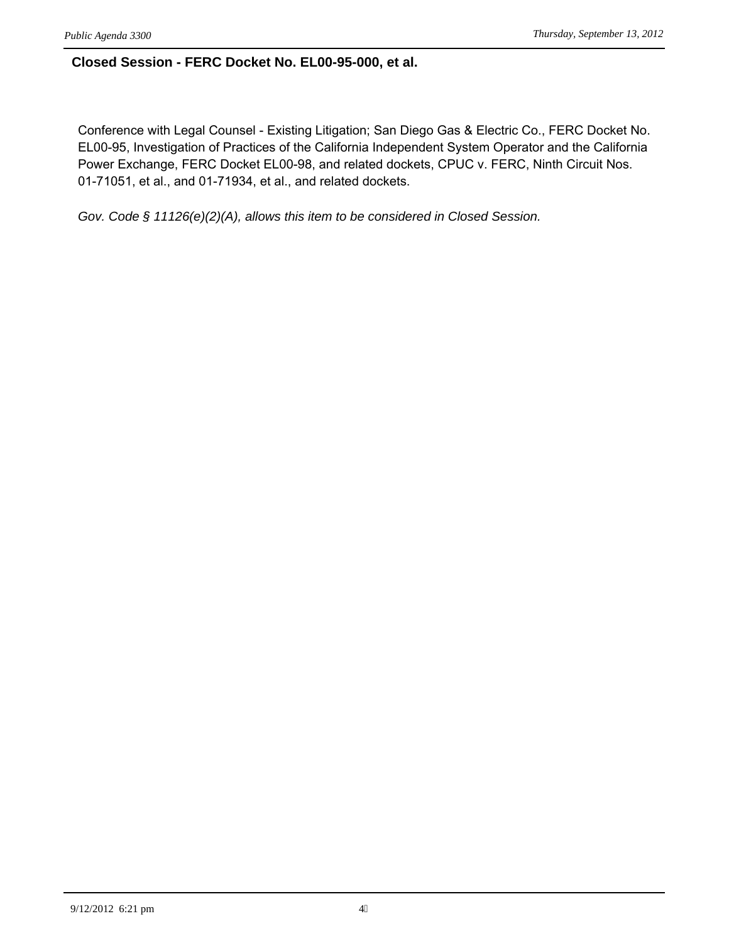## **Closed Session - FERC Docket No. EL00-95-000, et al.**

Conference with Legal Counsel - Existing Litigation; San Diego Gas & Electric Co., FERC Docket No. EL00-95, Investigation of Practices of the California Independent System Operator and the California Power Exchange, FERC Docket EL00-98, and related dockets, CPUC v. FERC, Ninth Circuit Nos. 01-71051, et al., and 01-71934, et al., and related dockets.

*Gov. Code § 11126(e)(2)(A), allows this item to be considered in Closed Session.*